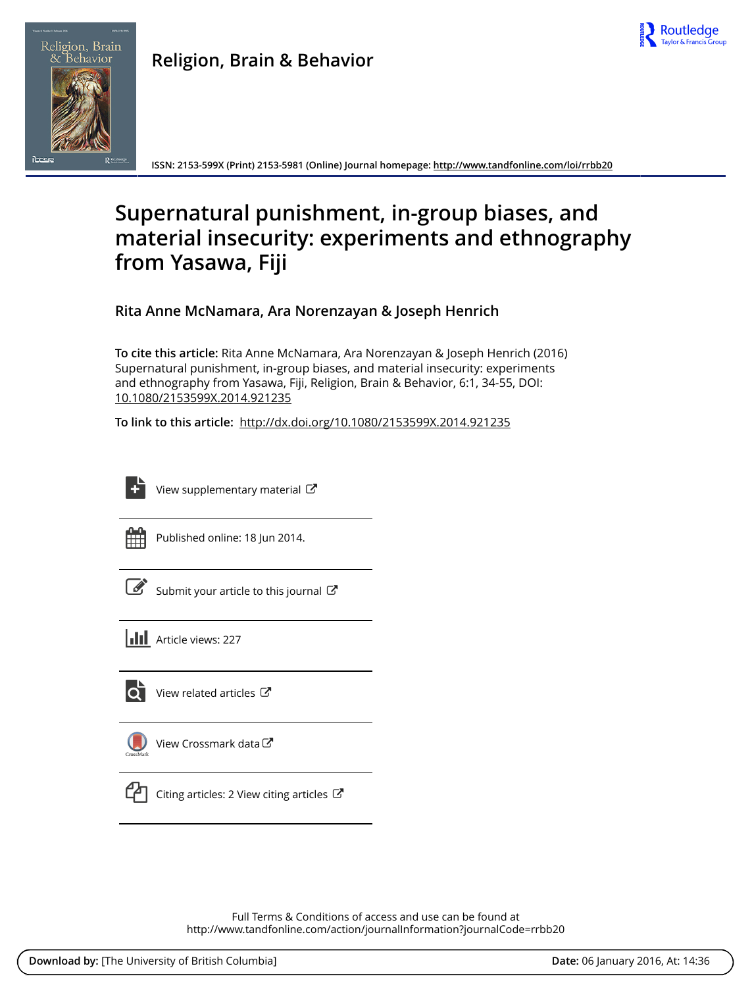



**ISSN: 2153-599X (Print) 2153-5981 (Online) Journal homepage: <http://www.tandfonline.com/loi/rrbb20>**

# **Supernatural punishment, in-group biases, and material insecurity: experiments and ethnography from Yasawa, Fiji**

**Rita Anne McNamara, Ara Norenzayan & Joseph Henrich**

**To cite this article:** Rita Anne McNamara, Ara Norenzayan & Joseph Henrich (2016) Supernatural punishment, in-group biases, and material insecurity: experiments and ethnography from Yasawa, Fiji, Religion, Brain & Behavior, 6:1, 34-55, DOI: [10.1080/2153599X.2014.921235](http://www.tandfonline.com/action/showCitFormats?doi=10.1080/2153599X.2014.921235)

**To link to this article:** <http://dx.doi.org/10.1080/2153599X.2014.921235>



[View supplementary material](http://www.tandfonline.com/doi/suppl/10.1080/2153599X.2014.921235)  $\mathbb{Z}$ 

| - |  |  |
|---|--|--|
|   |  |  |
|   |  |  |
|   |  |  |

Published online: 18 Jun 2014.

[Submit your article to this journal](http://www.tandfonline.com/action/authorSubmission?journalCode=rrbb20&page=instructions)  $\mathbb{Z}$ 





 $\overline{\mathbf{Q}}$  [View related articles](http://www.tandfonline.com/doi/mlt/10.1080/2153599X.2014.921235)  $\mathbf{C}$ 



[View Crossmark data](http://crossmark.crossref.org/dialog/?doi=10.1080/2153599X.2014.921235&domain=pdf&date_stamp=2014-06-18)



[Citing articles: 2 View citing articles](http://www.tandfonline.com/doi/citedby/10.1080/2153599X.2014.921235#tabModule)  $\mathbb{Z}$ 

Full Terms & Conditions of access and use can be found at <http://www.tandfonline.com/action/journalInformation?journalCode=rrbb20>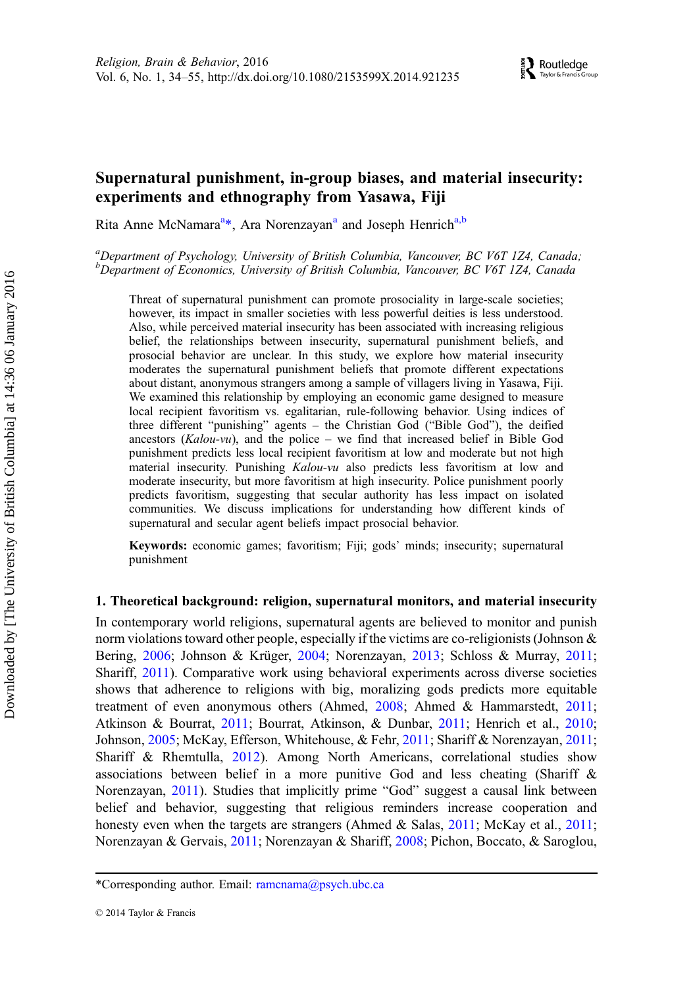# Supernatural punishment, in-group biases, and material insecurity: experiments and ethnography from Yasawa, Fiji

Rita Anne McNamara<sup>a\*</sup>, Ara Norenzayan<sup>a</sup> and Joseph Henrich<sup>a,b</sup>

a<br>Department of Psychology, University of British Columbia, Vancouver, BC V6T 1Z4, Canada; <sup>b</sup>Department of Economics, University of British Columbia, Vancouver, BC V6T 1Z4, Canada

Threat of supernatural punishment can promote prosociality in large-scale societies; however, its impact in smaller societies with less powerful deities is less understood. Also, while perceived material insecurity has been associated with increasing religious belief, the relationships between insecurity, supernatural punishment beliefs, and prosocial behavior are unclear. In this study, we explore how material insecurity moderates the supernatural punishment beliefs that promote different expectations about distant, anonymous strangers among a sample of villagers living in Yasawa, Fiji. We examined this relationship by employing an economic game designed to measure local recipient favoritism vs. egalitarian, rule-following behavior. Using indices of three different "punishing" agents – the Christian God ("Bible God"), the deified ancestors ( $Kalou-vu$ ), and the police – we find that increased belief in Bible God punishment predicts less local recipient favoritism at low and moderate but not high material insecurity. Punishing *Kalou-vu* also predicts less favoritism at low and moderate insecurity, but more favoritism at high insecurity. Police punishment poorly predicts favoritism, suggesting that secular authority has less impact on isolated communities. We discuss implications for understanding how different kinds of supernatural and secular agent beliefs impact prosocial behavior.

Keywords: economic games; favoritism; Fiji; gods' minds; insecurity; supernatural punishment

# 1. Theoretical background: religion, supernatural monitors, and material insecurity

In contemporary world religions, supernatural agents are believed to monitor and punish norm violations toward other people, especially if the victims are co-religionists (Johnson & Bering, [2006;](#page-20-0) Johnson & Krüger, [2004;](#page-20-0) Norenzayan, [2013;](#page-21-0) Schloss & Murray, [2011](#page-21-0); Shariff, [2011\)](#page-21-0). Comparative work using behavioral experiments across diverse societies shows that adherence to religions with big, moralizing gods predicts more equitable treatment of even anonymous others (Ahmed, [2008](#page-18-0); Ahmed & Hammarstedt, [2011](#page-18-0); Atkinson & Bourrat, [2011](#page-19-0); Bourrat, Atkinson, & Dunbar, [2011;](#page-19-0) Henrich et al., [2010](#page-20-0); Johnson, [2005](#page-20-0); McKay, Efferson, Whitehouse, & Fehr, [2011](#page-21-0); Shariff & Norenzayan, [2011](#page-22-0); Shariff & Rhemtulla, [2012](#page-22-0)). Among North Americans, correlational studies show associations between belief in a more punitive God and less cheating (Shariff & Norenzayan, [2011\)](#page-22-0). Studies that implicitly prime "God" suggest a causal link between belief and behavior, suggesting that religious reminders increase cooperation and honesty even when the targets are strangers (Ahmed & Salas, [2011;](#page-18-0) McKay et al., [2011](#page-21-0); Norenzayan & Gervais, [2011;](#page-21-0) Norenzayan & Shariff, [2008;](#page-21-0) Pichon, Boccato, & Saroglou,

<sup>\*</sup>Corresponding author. Email: [ramcnama@psych.ubc.ca](mailto:ramcnama@psych.ubc.ca)

<sup>© 2014</sup> Taylor & Francis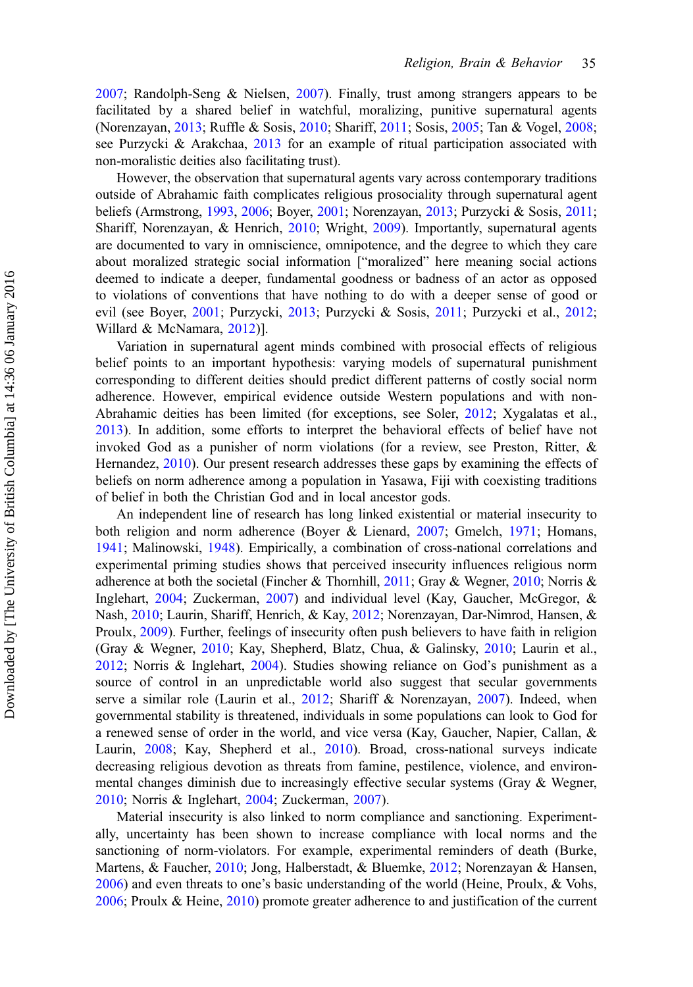[2007;](#page-21-0) Randolph-Seng & Nielsen, [2007\)](#page-21-0). Finally, trust among strangers appears to be facilitated by a shared belief in watchful, moralizing, punitive supernatural agents (Norenzayan, [2013](#page-21-0); Ruffle & Sosis, [2010](#page-21-0); Shariff, [2011](#page-21-0); Sosis, [2005;](#page-22-0) Tan & Vogel, [2008](#page-22-0); see Purzycki & Arakchaa, [2013](#page-21-0) for an example of ritual participation associated with non-moralistic deities also facilitating trust).

However, the observation that supernatural agents vary across contemporary traditions outside of Abrahamic faith complicates religious prosociality through supernatural agent beliefs (Armstrong, [1993,](#page-19-0) [2006;](#page-19-0) Boyer, [2001](#page-19-0); Norenzayan, [2013;](#page-21-0) Purzycki & Sosis, [2011](#page-21-0); Shariff, Norenzayan, & Henrich, [2010](#page-22-0); Wright, [2009\)](#page-22-0). Importantly, supernatural agents are documented to vary in omniscience, omnipotence, and the degree to which they care about moralized strategic social information ["moralized" here meaning social actions deemed to indicate a deeper, fundamental goodness or badness of an actor as opposed to violations of conventions that have nothing to do with a deeper sense of good or evil (see Boyer, [2001;](#page-19-0) Purzycki, [2013](#page-21-0); Purzycki & Sosis, [2011;](#page-21-0) Purzycki et al., [2012](#page-21-0); Willard & McNamara, [2012](#page-22-0))].

Variation in supernatural agent minds combined with prosocial effects of religious belief points to an important hypothesis: varying models of supernatural punishment corresponding to different deities should predict different patterns of costly social norm adherence. However, empirical evidence outside Western populations and with non-Abrahamic deities has been limited (for exceptions, see Soler, [2012;](#page-22-0) Xygalatas et al., [2013\)](#page-22-0). In addition, some efforts to interpret the behavioral effects of belief have not invoked God as a punisher of norm violations (for a review, see Preston, Ritter, & Hernandez, [2010](#page-21-0)). Our present research addresses these gaps by examining the effects of beliefs on norm adherence among a population in Yasawa, Fiji with coexisting traditions of belief in both the Christian God and in local ancestor gods.

An independent line of research has long linked existential or material insecurity to both religion and norm adherence (Boyer & Lienard, [2007;](#page-19-0) Gmelch, [1971](#page-19-0); Homans, [1941;](#page-20-0) Malinowski, [1948\)](#page-21-0). Empirically, a combination of cross-national correlations and experimental priming studies shows that perceived insecurity influences religious norm adherence at both the societal (Fincher & Thornhill, [2011;](#page-19-0) Gray & Wegner, [2010;](#page-19-0) Norris & Inglehart, [2004](#page-21-0); Zuckerman, [2007](#page-22-0)) and individual level (Kay, Gaucher, McGregor, & Nash, [2010](#page-20-0); Laurin, Shariff, Henrich, & Kay, [2012;](#page-20-0) Norenzayan, Dar-Nimrod, Hansen, & Proulx, [2009\)](#page-21-0). Further, feelings of insecurity often push believers to have faith in religion (Gray & Wegner, [2010;](#page-19-0) Kay, Shepherd, Blatz, Chua, & Galinsky, [2010;](#page-20-0) Laurin et al., [2012;](#page-20-0) Norris & Inglehart, [2004\)](#page-21-0). Studies showing reliance on God's punishment as a source of control in an unpredictable world also suggest that secular governments serve a similar role (Laurin et al., [2012;](#page-20-0) Shariff & Norenzayan, [2007\)](#page-22-0). Indeed, when governmental stability is threatened, individuals in some populations can look to God for a renewed sense of order in the world, and vice versa (Kay, Gaucher, Napier, Callan, & Laurin, [2008;](#page-20-0) Kay, Shepherd et al., [2010](#page-20-0)). Broad, cross-national surveys indicate decreasing religious devotion as threats from famine, pestilence, violence, and environmental changes diminish due to increasingly effective secular systems (Gray & Wegner, [2010;](#page-19-0) Norris & Inglehart, [2004;](#page-21-0) Zuckerman, [2007\)](#page-22-0).

Material insecurity is also linked to norm compliance and sanctioning. Experimentally, uncertainty has been shown to increase compliance with local norms and the sanctioning of norm-violators. For example, experimental reminders of death (Burke, Martens, & Faucher, [2010](#page-19-0); Jong, Halberstadt, & Bluemke, [2012;](#page-20-0) Norenzayan & Hansen, [2006\)](#page-21-0) and even threats to one's basic understanding of the world (Heine, Proulx, & Vohs, [2006;](#page-19-0) Proulx & Heine, [2010](#page-21-0)) promote greater adherence to and justification of the current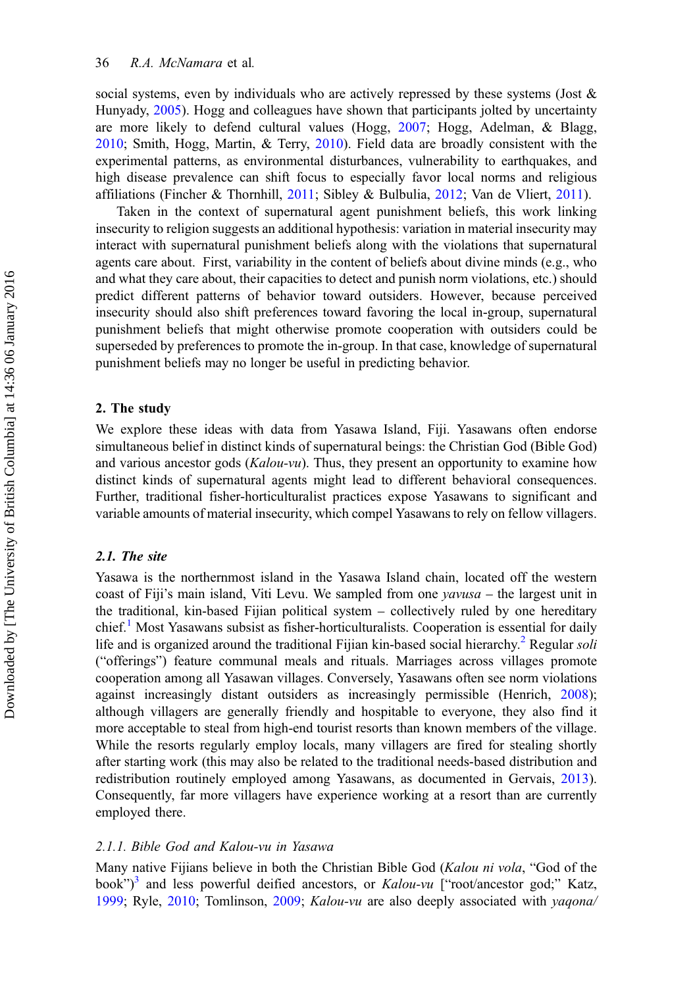social systems, even by individuals who are actively repressed by these systems (Jost  $\&$ Hunyady, [2005](#page-20-0)). Hogg and colleagues have shown that participants jolted by uncertainty are more likely to defend cultural values (Hogg, [2007;](#page-20-0) Hogg, Adelman, & Blagg, [2010;](#page-20-0) Smith, Hogg, Martin, & Terry, [2010\)](#page-22-0). Field data are broadly consistent with the experimental patterns, as environmental disturbances, vulnerability to earthquakes, and high disease prevalence can shift focus to especially favor local norms and religious affiliations (Fincher & Thornhill, [2011](#page-19-0); Sibley & Bulbulia, [2012;](#page-22-0) Van de Vliert, [2011\)](#page-22-0).

Taken in the context of supernatural agent punishment beliefs, this work linking insecurity to religion suggests an additional hypothesis: variation in material insecurity may interact with supernatural punishment beliefs along with the violations that supernatural agents care about. First, variability in the content of beliefs about divine minds (e.g., who and what they care about, their capacities to detect and punish norm violations, etc.) should predict different patterns of behavior toward outsiders. However, because perceived insecurity should also shift preferences toward favoring the local in-group, supernatural punishment beliefs that might otherwise promote cooperation with outsiders could be superseded by preferences to promote the in-group. In that case, knowledge of supernatural punishment beliefs may no longer be useful in predicting behavior.

# 2. The study

We explore these ideas with data from Yasawa Island, Fiji. Yasawans often endorse simultaneous belief in distinct kinds of supernatural beings: the Christian God (Bible God) and various ancestor gods (Kalou-vu). Thus, they present an opportunity to examine how distinct kinds of supernatural agents might lead to different behavioral consequences. Further, traditional fisher-horticulturalist practices expose Yasawans to significant and variable amounts of material insecurity, which compel Yasawans to rely on fellow villagers.

# 2.1. The site

Yasawa is the northernmost island in the Yasawa Island chain, located off the western coast of Fiji's main island, Viti Levu. We sampled from one  $\gamma \alpha \nu \nu \nu \alpha$  – the largest unit in the traditional, kin-based Fijian political system – collectively ruled by one hereditary chief.<sup>[1](#page-18-0)</sup> Most Yasawans subsist as fisher-horticulturalists. Cooperation is essential for daily life and is organized around the traditional Fijian kin-based social hierarchy.<sup>[2](#page-18-0)</sup> Regular soli ("offerings") feature communal meals and rituals. Marriages across villages promote cooperation among all Yasawan villages. Conversely, Yasawans often see norm violations against increasingly distant outsiders as increasingly permissible (Henrich, [2008](#page-19-0)); although villagers are generally friendly and hospitable to everyone, they also find it more acceptable to steal from high-end tourist resorts than known members of the village. While the resorts regularly employ locals, many villagers are fired for stealing shortly after starting work (this may also be related to the traditional needs-based distribution and redistribution routinely employed among Yasawans, as documented in Gervais, [2013](#page-19-0)). Consequently, far more villagers have experience working at a resort than are currently employed there.

# 2.1.1. Bible God and Kalou-vu in Yasawa

Many native Fijians believe in both the Christian Bible God (Kalou ni vola, "God of the book")<sup>[3](#page-18-0)</sup> and less powerful deified ancestors, or Kalou-vu ["root/ancestor god;" Katz, [1999;](#page-20-0) Ryle, [2010](#page-21-0); Tomlinson, [2009](#page-22-0); Kalou-vu are also deeply associated with *yaqona*/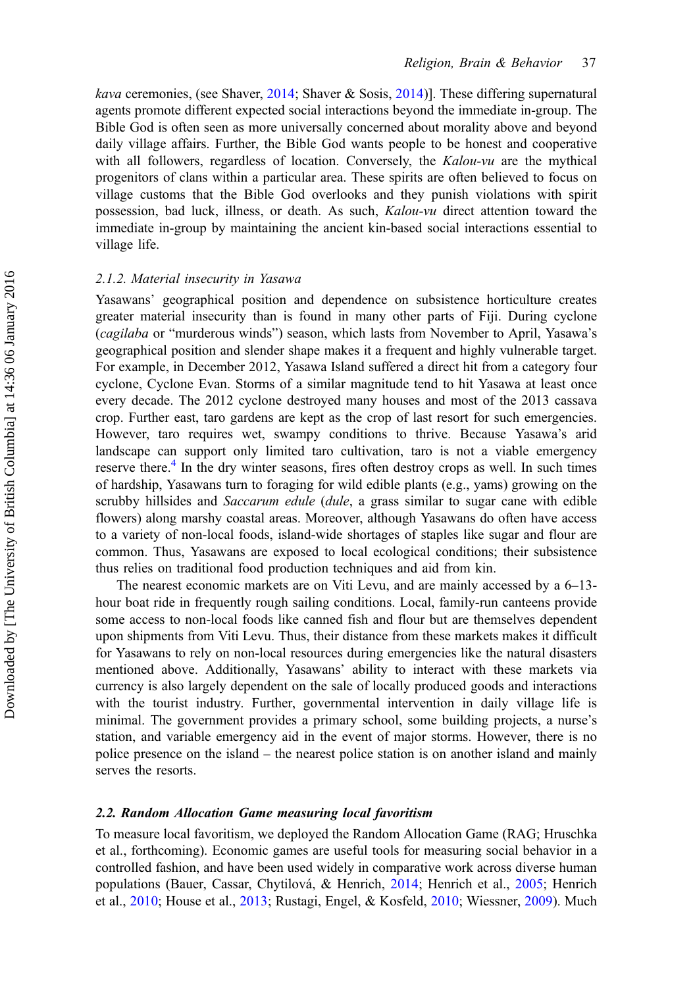*kava* ceremonies, (see Shaver, [2014](#page-22-0); Shaver & Sosis, [2014\)](#page-22-0). These differing supernatural agents promote different expected social interactions beyond the immediate in-group. The Bible God is often seen as more universally concerned about morality above and beyond daily village affairs. Further, the Bible God wants people to be honest and cooperative with all followers, regardless of location. Conversely, the Kalou-vu are the mythical progenitors of clans within a particular area. These spirits are often believed to focus on village customs that the Bible God overlooks and they punish violations with spirit possession, bad luck, illness, or death. As such, Kalou-vu direct attention toward the immediate in-group by maintaining the ancient kin-based social interactions essential to village life.

# 2.1.2. Material insecurity in Yasawa

Yasawans' geographical position and dependence on subsistence horticulture creates greater material insecurity than is found in many other parts of Fiji. During cyclone (cagilaba or "murderous winds") season, which lasts from November to April, Yasawa's geographical position and slender shape makes it a frequent and highly vulnerable target. For example, in December 2012, Yasawa Island suffered a direct hit from a category four cyclone, Cyclone Evan. Storms of a similar magnitude tend to hit Yasawa at least once every decade. The 2012 cyclone destroyed many houses and most of the 2013 cassava crop. Further east, taro gardens are kept as the crop of last resort for such emergencies. However, taro requires wet, swampy conditions to thrive. Because Yasawa's arid landscape can support only limited taro cultivation, taro is not a viable emergency reserve there.<sup>[4](#page-18-0)</sup> In the dry winter seasons, fires often destroy crops as well. In such times of hardship, Yasawans turn to foraging for wild edible plants (e.g., yams) growing on the scrubby hillsides and *Saccarum edule (dule, a grass similar to sugar cane with edible* flowers) along marshy coastal areas. Moreover, although Yasawans do often have access to a variety of non-local foods, island-wide shortages of staples like sugar and flour are common. Thus, Yasawans are exposed to local ecological conditions; their subsistence thus relies on traditional food production techniques and aid from kin.

The nearest economic markets are on Viti Levu, and are mainly accessed by a 6–13 hour boat ride in frequently rough sailing conditions. Local, family-run canteens provide some access to non-local foods like canned fish and flour but are themselves dependent upon shipments from Viti Levu. Thus, their distance from these markets makes it difficult for Yasawans to rely on non-local resources during emergencies like the natural disasters mentioned above. Additionally, Yasawans' ability to interact with these markets via currency is also largely dependent on the sale of locally produced goods and interactions with the tourist industry. Further, governmental intervention in daily village life is minimal. The government provides a primary school, some building projects, a nurse's station, and variable emergency aid in the event of major storms. However, there is no police presence on the island – the nearest police station is on another island and mainly serves the resorts.

# 2.2. Random Allocation Game measuring local favoritism

To measure local favoritism, we deployed the Random Allocation Game (RAG; Hruschka et al., forthcoming). Economic games are useful tools for measuring social behavior in a controlled fashion, and have been used widely in comparative work across diverse human populations (Bauer, Cassar, Chytilová, & Henrich, [2014](#page-19-0); Henrich et al., [2005;](#page-19-0) Henrich et al., [2010;](#page-20-0) House et al., [2013;](#page-20-0) Rustagi, Engel, & Kosfeld, [2010;](#page-21-0) Wiessner, [2009\)](#page-22-0). Much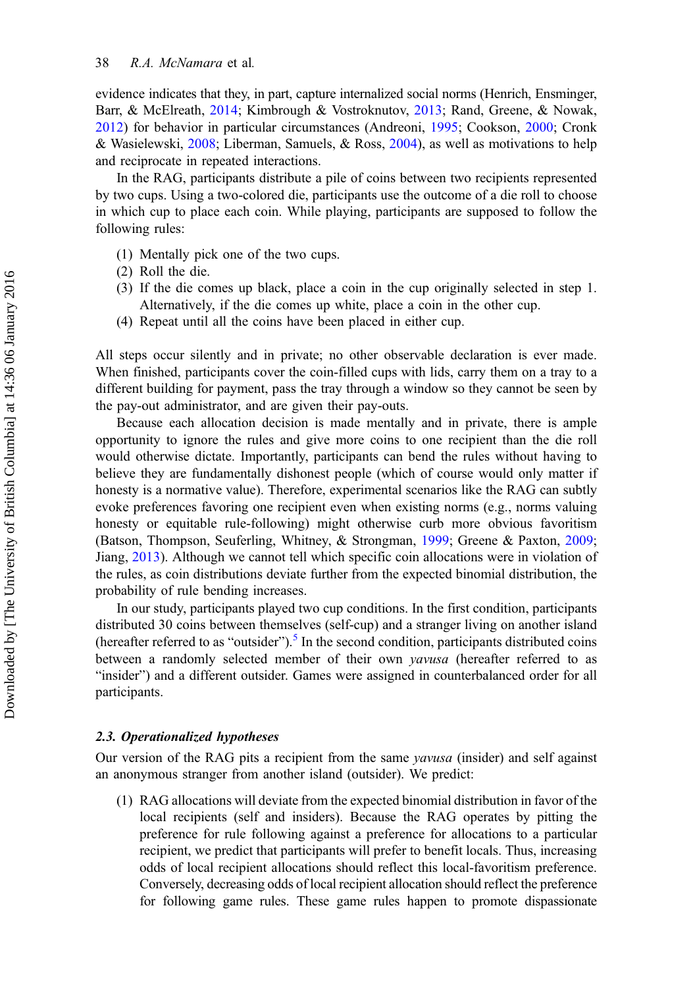evidence indicates that they, in part, capture internalized social norms (Henrich, Ensminger, Barr, & McElreath, [2014](#page-20-0); Kimbrough & Vostroknutov, [2013;](#page-20-0) Rand, Greene, & Nowak, [2012\)](#page-21-0) for behavior in particular circumstances (Andreoni, [1995](#page-19-0); Cookson, [2000](#page-19-0); Cronk & Wasielewski, [2008;](#page-19-0) Liberman, Samuels, & Ross, [2004](#page-20-0)), as well as motivations to help and reciprocate in repeated interactions.

In the RAG, participants distribute a pile of coins between two recipients represented by two cups. Using a two-colored die, participants use the outcome of a die roll to choose in which cup to place each coin. While playing, participants are supposed to follow the following rules:

- (1) Mentally pick one of the two cups.
- (2) Roll the die.
- (3) If the die comes up black, place a coin in the cup originally selected in step 1. Alternatively, if the die comes up white, place a coin in the other cup.
- (4) Repeat until all the coins have been placed in either cup.

All steps occur silently and in private; no other observable declaration is ever made. When finished, participants cover the coin-filled cups with lids, carry them on a tray to a different building for payment, pass the tray through a window so they cannot be seen by the pay-out administrator, and are given their pay-outs.

Because each allocation decision is made mentally and in private, there is ample opportunity to ignore the rules and give more coins to one recipient than the die roll would otherwise dictate. Importantly, participants can bend the rules without having to believe they are fundamentally dishonest people (which of course would only matter if honesty is a normative value). Therefore, experimental scenarios like the RAG can subtly evoke preferences favoring one recipient even when existing norms (e.g., norms valuing honesty or equitable rule-following) might otherwise curb more obvious favoritism (Batson, Thompson, Seuferling, Whitney, & Strongman, [1999;](#page-19-0) Greene & Paxton, [2009](#page-19-0); Jiang, [2013](#page-20-0)). Although we cannot tell which specific coin allocations were in violation of the rules, as coin distributions deviate further from the expected binomial distribution, the probability of rule bending increases.

In our study, participants played two cup conditions. In the first condition, participants distributed 30 coins between themselves (self-cup) and a stranger living on another island (hereafter referred to as "outsider").<sup>[5](#page-18-0)</sup> In the second condition, participants distributed coins between a randomly selected member of their own *yavusa* (hereafter referred to as "insider") and a different outsider. Games were assigned in counterbalanced order for all participants.

#### 2.3. Operationalized hypotheses

Our version of the RAG pits a recipient from the same yavusa (insider) and self against an anonymous stranger from another island (outsider). We predict:

(1) RAG allocations will deviate from the expected binomial distribution in favor of the local recipients (self and insiders). Because the RAG operates by pitting the preference for rule following against a preference for allocations to a particular recipient, we predict that participants will prefer to benefit locals. Thus, increasing odds of local recipient allocations should reflect this local-favoritism preference. Conversely, decreasing odds of local recipient allocation should reflect the preference for following game rules. These game rules happen to promote dispassionate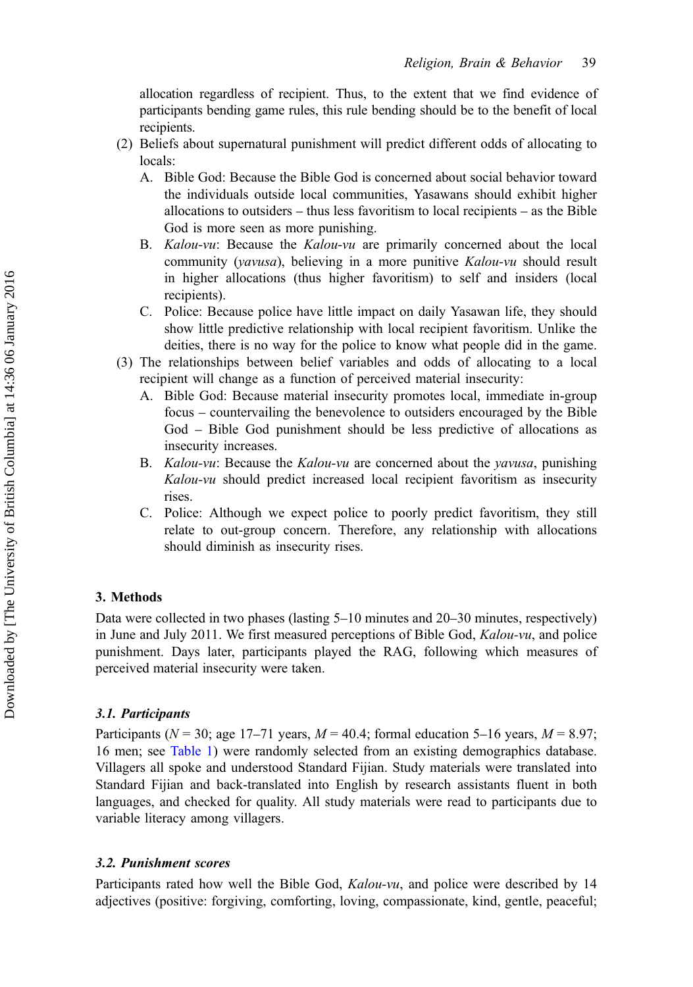allocation regardless of recipient. Thus, to the extent that we find evidence of participants bending game rules, this rule bending should be to the benefit of local recipients.

- (2) Beliefs about supernatural punishment will predict different odds of allocating to locals:
	- A. Bible God: Because the Bible God is concerned about social behavior toward the individuals outside local communities, Yasawans should exhibit higher allocations to outsiders – thus less favoritism to local recipients – as the Bible God is more seen as more punishing.
	- B. Kalou-vu: Because the Kalou-vu are primarily concerned about the local community (*yavusa*), believing in a more punitive *Kalou-vu* should result in higher allocations (thus higher favoritism) to self and insiders (local recipients).
	- C. Police: Because police have little impact on daily Yasawan life, they should show little predictive relationship with local recipient favoritism. Unlike the deities, there is no way for the police to know what people did in the game.
- (3) The relationships between belief variables and odds of allocating to a local recipient will change as a function of perceived material insecurity:
	- A. Bible God: Because material insecurity promotes local, immediate in-group focus – countervailing the benevolence to outsiders encouraged by the Bible God – Bible God punishment should be less predictive of allocations as insecurity increases.
	- B. *Kalou-vu*: Because the *Kalou-vu* are concerned about the *vavusa*, punishing Kalou-vu should predict increased local recipient favoritism as insecurity rises.
	- C. Police: Although we expect police to poorly predict favoritism, they still relate to out-group concern. Therefore, any relationship with allocations should diminish as insecurity rises.

# 3. Methods

Data were collected in two phases (lasting 5–10 minutes and 20–30 minutes, respectively) in June and July 2011. We first measured perceptions of Bible God,  $Kalou-vu$ , and police punishment. Days later, participants played the RAG, following which measures of perceived material insecurity were taken.

# 3.1. Participants

Participants ( $N = 30$ ; age 17–71 years,  $M = 40.4$ ; formal education 5–16 years,  $M = 8.97$ ; 16 men; see [Table 1\)](#page-7-0) were randomly selected from an existing demographics database. Villagers all spoke and understood Standard Fijian. Study materials were translated into Standard Fijian and back-translated into English by research assistants fluent in both languages, and checked for quality. All study materials were read to participants due to variable literacy among villagers.

# 3.2. Punishment scores

Participants rated how well the Bible God, *Kalou-vu*, and police were described by 14 adjectives (positive: forgiving, comforting, loving, compassionate, kind, gentle, peaceful;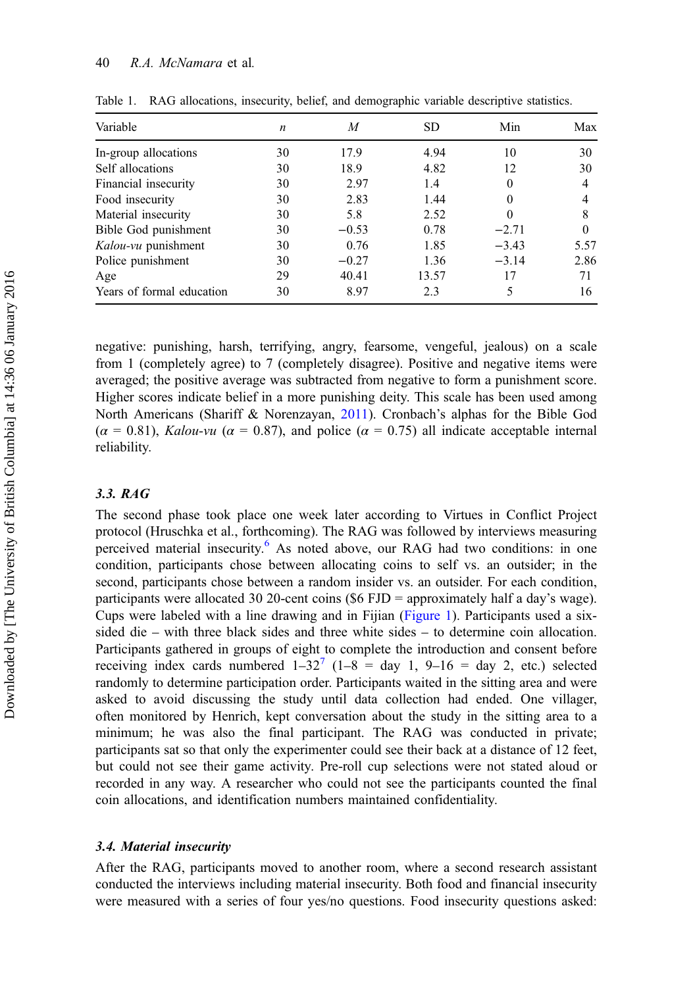| Variable                  | n  | M       | SD.   | Min      | Max      |
|---------------------------|----|---------|-------|----------|----------|
| In-group allocations      | 30 | 17.9    | 4.94  | 10       | 30       |
| Self allocations          | 30 | 18.9    | 4.82  | 12       | 30       |
| Financial insecurity      | 30 | 2.97    | 1.4   | 0        | 4        |
| Food insecurity           | 30 | 2.83    | 1.44  | 0        |          |
| Material insecurity       | 30 | 5.8     | 2.52  | $\Omega$ | 8        |
| Bible God punishment      | 30 | $-0.53$ | 0.78  | $-2.71$  | $\Omega$ |
| Kalou-vu punishment       | 30 | 0.76    | 1.85  | $-3.43$  | 5.57     |
| Police punishment         | 30 | $-0.27$ | 1.36  | $-3.14$  | 2.86     |
| Age                       | 29 | 40.41   | 13.57 | 17       | 71       |
| Years of formal education | 30 | 8.97    | 2.3   | 5        | 16       |

<span id="page-7-0"></span>Table 1. RAG allocations, insecurity, belief, and demographic variable descriptive statistics.

negative: punishing, harsh, terrifying, angry, fearsome, vengeful, jealous) on a scale from 1 (completely agree) to 7 (completely disagree). Positive and negative items were averaged; the positive average was subtracted from negative to form a punishment score. Higher scores indicate belief in a more punishing deity. This scale has been used among North Americans (Shariff & Norenzayan, [2011](#page-22-0)). Cronbach's alphas for the Bible God  $(\alpha = 0.81)$ , Kalou-vu  $(\alpha = 0.87)$ , and police  $(\alpha = 0.75)$  all indicate acceptable internal reliability.

# 3.3. RAG

The second phase took place one week later according to Virtues in Conflict Project protocol (Hruschka et al., forthcoming). The RAG was followed by interviews measuring perceived material insecurity. $6$  As noted above, our RAG had two conditions: in one condition, participants chose between allocating coins to self vs. an outsider; in the second, participants chose between a random insider vs. an outsider. For each condition, participants were allocated 30 20-cent coins (\$6 FJD = approximately half a day's wage). Cups were labeled with a line drawing and in Fijian ([Figure 1\)](#page-8-0). Participants used a sixsided die – with three black sides and three white sides – to determine coin allocation. Participants gathered in groups of eight to complete the introduction and consent before receiving index cards numbered  $1-32^7$  $1-32^7$  ( $1-8 =$  day 1,  $9-16 =$  day 2, etc.) selected randomly to determine participation order. Participants waited in the sitting area and were asked to avoid discussing the study until data collection had ended. One villager, often monitored by Henrich, kept conversation about the study in the sitting area to a minimum; he was also the final participant. The RAG was conducted in private; participants sat so that only the experimenter could see their back at a distance of 12 feet, but could not see their game activity. Pre-roll cup selections were not stated aloud or recorded in any way. A researcher who could not see the participants counted the final coin allocations, and identification numbers maintained confidentiality.

# 3.4. Material insecurity

After the RAG, participants moved to another room, where a second research assistant conducted the interviews including material insecurity. Both food and financial insecurity were measured with a series of four yes/no questions. Food insecurity questions asked: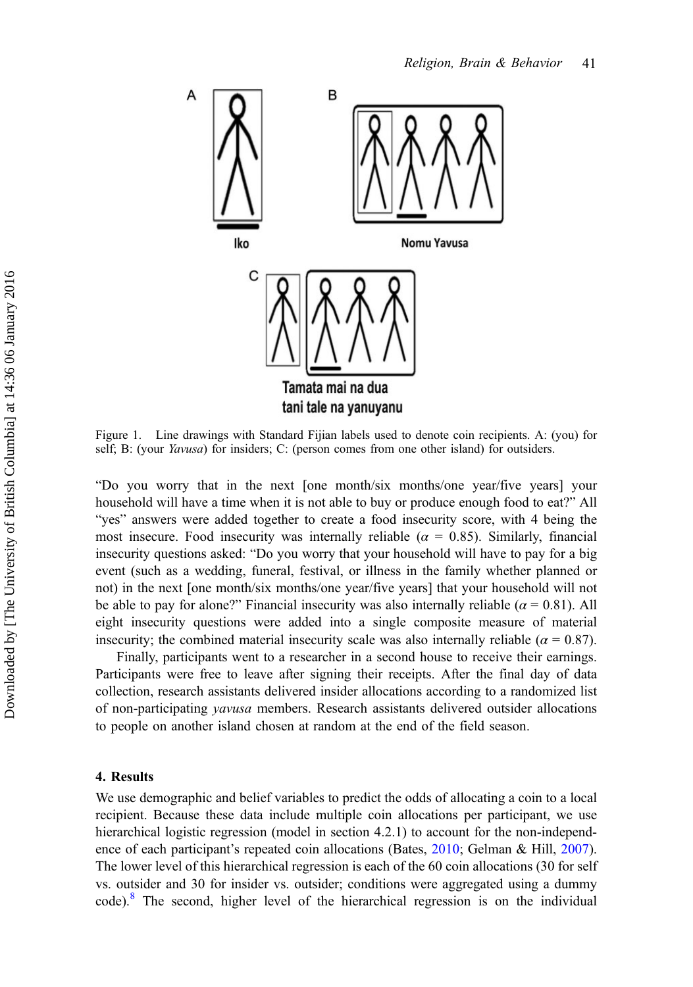<span id="page-8-0"></span>

Figure 1. Line drawings with Standard Fijian labels used to denote coin recipients. A: (you) for self; B: (your *Yavusa*) for insiders; C: (person comes from one other island) for outsiders.

"Do you worry that in the next [one month/six months/one year/five years] your household will have a time when it is not able to buy or produce enough food to eat?" All "yes" answers were added together to create a food insecurity score, with 4 being the most insecure. Food insecurity was internally reliable ( $\alpha = 0.85$ ). Similarly, financial insecurity questions asked: "Do you worry that your household will have to pay for a big event (such as a wedding, funeral, festival, or illness in the family whether planned or not) in the next [one month/six months/one year/five years] that your household will not be able to pay for alone?" Financial insecurity was also internally reliable ( $\alpha = 0.81$ ). All eight insecurity questions were added into a single composite measure of material insecurity; the combined material insecurity scale was also internally reliable ( $\alpha = 0.87$ ).

Finally, participants went to a researcher in a second house to receive their earnings. Participants were free to leave after signing their receipts. After the final day of data collection, research assistants delivered insider allocations according to a randomized list of non-participating yavusa members. Research assistants delivered outsider allocations to people on another island chosen at random at the end of the field season.

# 4. Results

We use demographic and belief variables to predict the odds of allocating a coin to a local recipient. Because these data include multiple coin allocations per participant, we use hierarchical logistic regression (model in section 4.2.1) to account for the non-independence of each participant's repeated coin allocations (Bates, [2010](#page-19-0); Gelman & Hill, [2007](#page-19-0)). The lower level of this hierarchical regression is each of the 60 coin allocations (30 for self vs. outsider and 30 for insider vs. outsider; conditions were aggregated using a dummy code).[8](#page-18-0) The second, higher level of the hierarchical regression is on the individual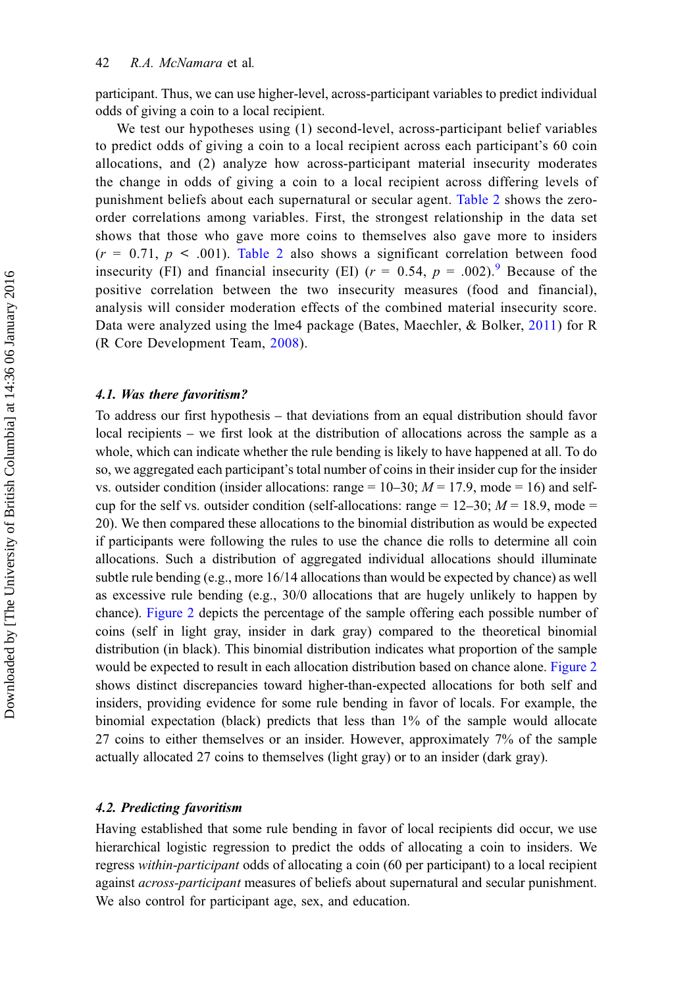participant. Thus, we can use higher-level, across-participant variables to predict individual odds of giving a coin to a local recipient.

We test our hypotheses using (1) second-level, across-participant belief variables to predict odds of giving a coin to a local recipient across each participant's 60 coin allocations, and (2) analyze how across-participant material insecurity moderates the change in odds of giving a coin to a local recipient across differing levels of punishment beliefs about each supernatural or secular agent. [Table 2](#page-10-0) shows the zeroorder correlations among variables. First, the strongest relationship in the data set shows that those who gave more coins to themselves also gave more to insiders  $(r = 0.71, p < .001)$ . [Table 2](#page-10-0) also shows a significant correlation between food insecurity (FI) and financial insecurity (EI)  $(r = 0.54, p = .002)$ . Because of the positive correlation between the two insecurity measures (food and financial), analysis will consider moderation effects of the combined material insecurity score. Data were analyzed using the lme4 package (Bates, Maechler, & Bolker, [2011\)](#page-19-0) for R (R Core Development Team, [2008](#page-21-0)).

# 4.1. Was there favoritism?

To address our first hypothesis – that deviations from an equal distribution should favor local recipients – we first look at the distribution of allocations across the sample as a whole, which can indicate whether the rule bending is likely to have happened at all. To do so, we aggregated each participant's total number of coins in their insider cup for the insider vs. outsider condition (insider allocations: range  $= 10-30$ ;  $M = 17.9$ , mode  $= 16$ ) and selfcup for the self vs. outsider condition (self-allocations: range =  $12-30$ ;  $M = 18.9$ , mode = 20). We then compared these allocations to the binomial distribution as would be expected if participants were following the rules to use the chance die rolls to determine all coin allocations. Such a distribution of aggregated individual allocations should illuminate subtle rule bending (e.g., more 16/14 allocations than would be expected by chance) as well as excessive rule bending (e.g.,  $30/0$  allocations that are hugely unlikely to happen by chance). [Figure 2](#page-11-0) depicts the percentage of the sample offering each possible number of coins (self in light gray, insider in dark gray) compared to the theoretical binomial distribution (in black). This binomial distribution indicates what proportion of the sample would be expected to result in each allocation distribution based on chance alone. [Figure 2](#page-11-0) shows distinct discrepancies toward higher-than-expected allocations for both self and insiders, providing evidence for some rule bending in favor of locals. For example, the binomial expectation (black) predicts that less than 1% of the sample would allocate 27 coins to either themselves or an insider. However, approximately 7% of the sample actually allocated 27 coins to themselves (light gray) or to an insider (dark gray).

# 4.2. Predicting favoritism

Having established that some rule bending in favor of local recipients did occur, we use hierarchical logistic regression to predict the odds of allocating a coin to insiders. We regress within-participant odds of allocating a coin (60 per participant) to a local recipient against across-participant measures of beliefs about supernatural and secular punishment. We also control for participant age, sex, and education.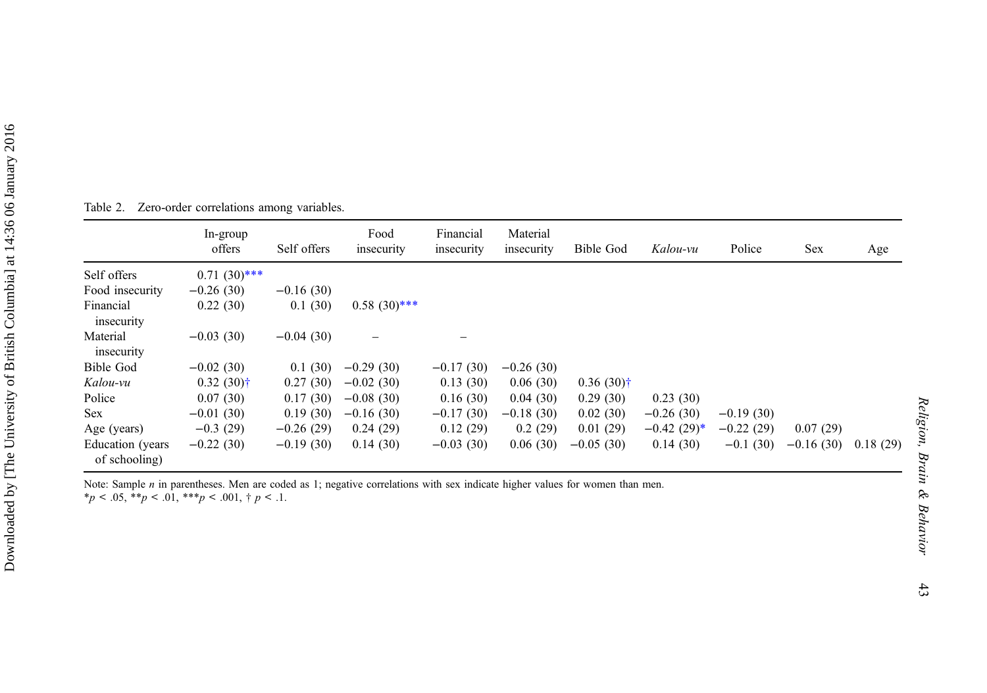|                                   | In-group<br>offers      | Self offers | Food<br>insecurity | Financial<br>insecurity | Material<br>insecurity | Bible God    | Kalou-vu      | Police      | Sex         | Age      |
|-----------------------------------|-------------------------|-------------|--------------------|-------------------------|------------------------|--------------|---------------|-------------|-------------|----------|
| Self offers                       | $0.71(30)$ ***          |             |                    |                         |                        |              |               |             |             |          |
| Food insecurity                   | $-0.26(30)$             | $-0.16(30)$ |                    |                         |                        |              |               |             |             |          |
| Financial<br>insecurity           | 0.22(30)                | 0.1(30)     | $0.58(30)***$      |                         |                        |              |               |             |             |          |
| Material<br>insecurity            | $-0.03(30)$             | $-0.04(30)$ |                    |                         |                        |              |               |             |             |          |
| Bible God                         | $-0.02(30)$             | 0.1(30)     | $-0.29(30)$        | $-0.17(30)$             | $-0.26(30)$            |              |               |             |             |          |
| Kalou-vu                          | $0.32(30)$ <sup>†</sup> | 0.27(30)    | $-0.02(30)$        | 0.13(30)                | 0.06(30)               | $0.36(30)$ † |               |             |             |          |
| Police                            | 0.07(30)                | 0.17(30)    | $-0.08(30)$        | 0.16(30)                | 0.04(30)               | 0.29(30)     | 0.23(30)      |             |             |          |
| <b>Sex</b>                        | $-0.01(30)$             | 0.19(30)    | $-0.16(30)$        | $-0.17(30)$             | $-0.18(30)$            | 0.02(30)     | $-0.26(30)$   | $-0.19(30)$ |             |          |
| Age (years)                       | $-0.3(29)$              | $-0.26(29)$ | 0.24(29)           | 0.12(29)                | 0.2(29)                | 0.01(29)     | $-0.42(29)^*$ | $-0.22(29)$ | 0.07(29)    |          |
| Education (years<br>of schooling) | $-0.22(30)$             | $-0.19(30)$ | 0.14(30)           | $-0.03(30)$             | 0.06(30)               | $-0.05(30)$  | 0.14(30)      | $-0.1(30)$  | $-0.16(30)$ | 0.18(29) |

<span id="page-10-0"></span>Table 2. Zero-order correlations among variables.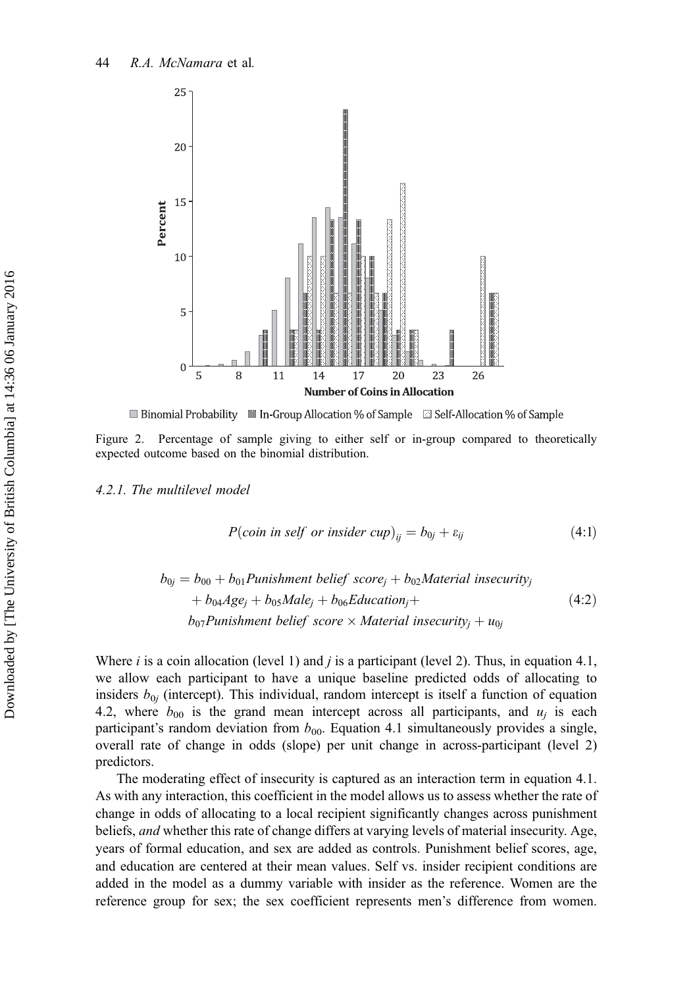<span id="page-11-0"></span>

■ Binomial Probability ■ In-Group Allocation % of Sample ■ Self-Allocation % of Sample

Figure 2. Percentage of sample giving to either self or in-group compared to theoretically expected outcome based on the binomial distribution.

4.2.1. The multilevel model

$$
P(coin \text{ in self or inside } cup)_{ij} = b_{0j} + \varepsilon_{ij}
$$
\n
$$
(4.1)
$$

$$
b_{0j} = b_{00} + b_{01} \text{Punishment belief score}_j + b_{02} \text{Material insecurity}_j
$$
  
+ 
$$
b_{04} \text{Age}_j + b_{05} \text{Male}_j + b_{06} \text{Education}_j +
$$
  

$$
b_{07} \text{Punishment belief score} \times \text{Material insecurity}_j + u_{0j}
$$
 (4:2)

Where *i* is a coin allocation (level 1) and *j* is a participant (level 2). Thus, in equation 4.1, we allow each participant to have a unique baseline predicted odds of allocating to insiders  $b_{0i}$  (intercept). This individual, random intercept is itself a function of equation 4.2, where  $b_{00}$  is the grand mean intercept across all participants, and  $u_i$  is each participant's random deviation from  $b_{00}$ . Equation 4.1 simultaneously provides a single, overall rate of change in odds (slope) per unit change in across-participant (level 2) predictors.

The moderating effect of insecurity is captured as an interaction term in equation 4.1. As with any interaction, this coefficient in the model allows us to assess whether the rate of change in odds of allocating to a local recipient significantly changes across punishment beliefs, and whether this rate of change differs at varying levels of material insecurity. Age, years of formal education, and sex are added as controls. Punishment belief scores, age, and education are centered at their mean values. Self vs. insider recipient conditions are added in the model as a dummy variable with insider as the reference. Women are the reference group for sex; the sex coefficient represents men's difference from women.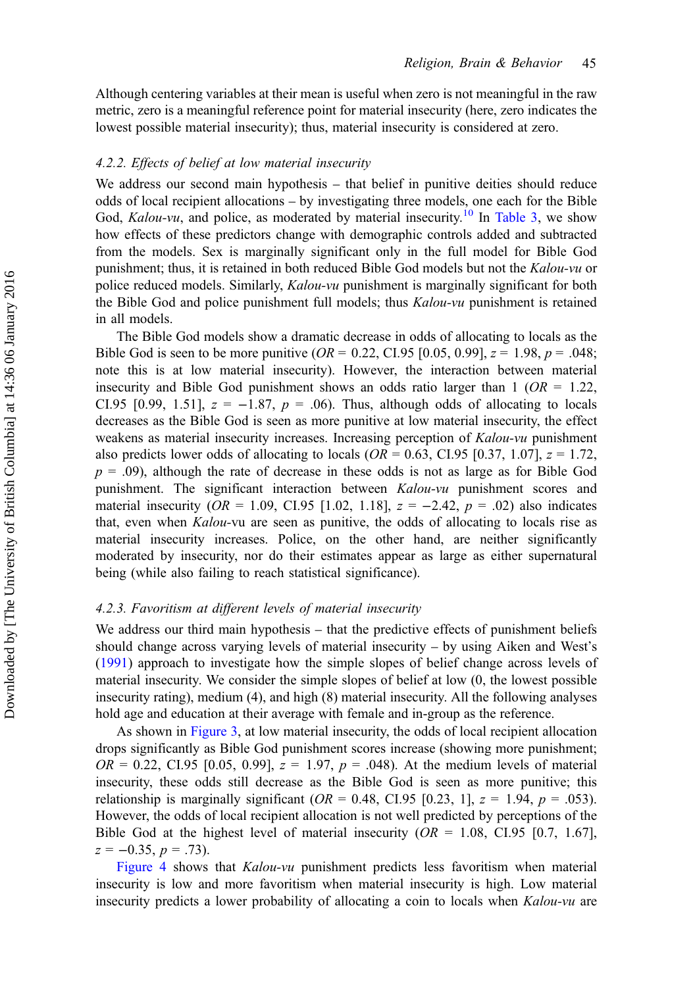Although centering variables at their mean is useful when zero is not meaningful in the raw metric, zero is a meaningful reference point for material insecurity (here, zero indicates the lowest possible material insecurity); thus, material insecurity is considered at zero.

# 4.2.2. Effects of belief at low material insecurity

We address our second main hypothesis – that belief in punitive deities should reduce odds of local recipient allocations – by investigating three models, one each for the Bible God, Kalou-vu, and police, as moderated by material insecurity.<sup>[10](#page-18-0)</sup> In [Table 3,](#page-13-0) we show how effects of these predictors change with demographic controls added and subtracted from the models. Sex is marginally significant only in the full model for Bible God punishment; thus, it is retained in both reduced Bible God models but not the Kalou-vu or police reduced models. Similarly, Kalou-vu punishment is marginally significant for both the Bible God and police punishment full models; thus Kalou-vu punishment is retained in all models.

The Bible God models show a dramatic decrease in odds of allocating to locals as the Bible God is seen to be more punitive ( $OR = 0.22$ , CI.95 [0.05, 0.99],  $z = 1.98$ ,  $p = .048$ ; note this is at low material insecurity). However, the interaction between material insecurity and Bible God punishment shows an odds ratio larger than 1 ( $OR = 1.22$ , CI.95 [0.99, 1.51],  $z = -1.87$ ,  $p = .06$ ). Thus, although odds of allocating to locals decreases as the Bible God is seen as more punitive at low material insecurity, the effect weakens as material insecurity increases. Increasing perception of Kalou-vu punishment also predicts lower odds of allocating to locals ( $OR = 0.63$ , CI.95 [0.37, 1.07],  $z = 1.72$ ,  $p = .09$ ), although the rate of decrease in these odds is not as large as for Bible God punishment. The significant interaction between Kalou-vu punishment scores and material insecurity ( $OR = 1.09$ , CI.95 [1.02, 1.18],  $z = -2.42$ ,  $p = .02$ ) also indicates that, even when *Kalou-vu* are seen as punitive, the odds of allocating to locals rise as material insecurity increases. Police, on the other hand, are neither significantly moderated by insecurity, nor do their estimates appear as large as either supernatural being (while also failing to reach statistical significance).

# 4.2.3. Favoritism at different levels of material insecurity

We address our third main hypothesis – that the predictive effects of punishment beliefs should change across varying levels of material insecurity – by using Aiken and West's [\(1991](#page-18-0)) approach to investigate how the simple slopes of belief change across levels of material insecurity. We consider the simple slopes of belief at low (0, the lowest possible insecurity rating), medium (4), and high (8) material insecurity. All the following analyses hold age and education at their average with female and in-group as the reference.

As shown in [Figure 3](#page-14-0), at low material insecurity, the odds of local recipient allocation drops significantly as Bible God punishment scores increase (showing more punishment;  $OR = 0.22$ , CI.95 [0.05, 0.99],  $z = 1.97$ ,  $p = .048$ ). At the medium levels of material insecurity, these odds still decrease as the Bible God is seen as more punitive; this relationship is marginally significant ( $OR = 0.48$ , CI.95 [0.23, 1],  $z = 1.94$ ,  $p = .053$ ). However, the odds of local recipient allocation is not well predicted by perceptions of the Bible God at the highest level of material insecurity  $(OR = 1.08, CI.95 \, [0.7, 1.67],$  $z = -0.35, p = .73$ .

[Figure 4](#page-14-0) shows that *Kalou-vu* punishment predicts less favoritism when material insecurity is low and more favoritism when material insecurity is high. Low material insecurity predicts a lower probability of allocating a coin to locals when Kalou-vu are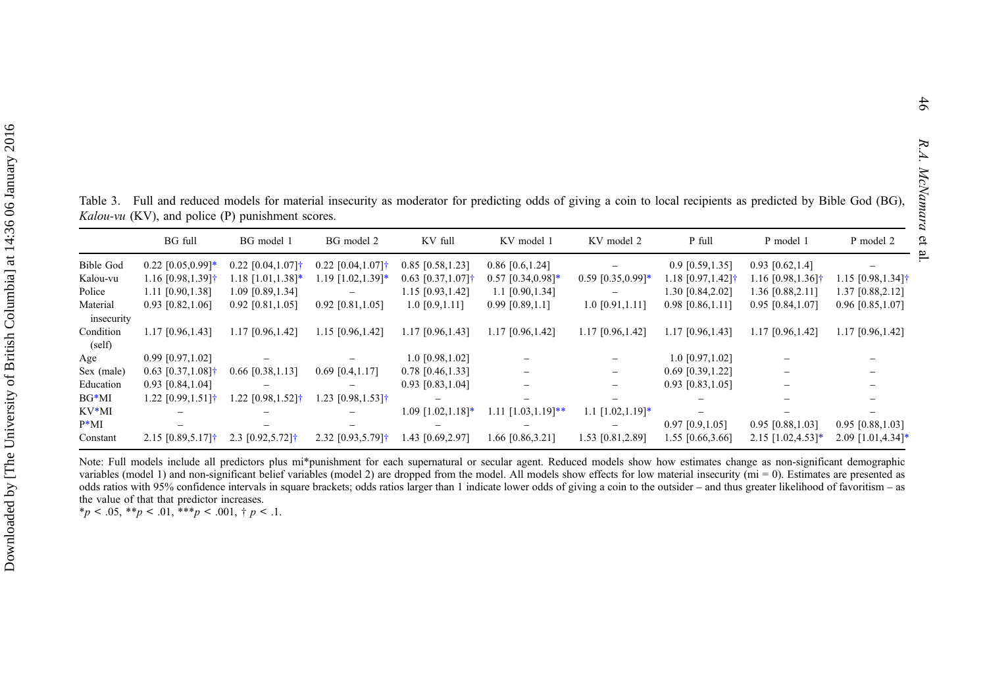<span id="page-13-0"></span>Table 3. Full and reduced models for material insecurity as moderator for predicting odds of giving <sup>a</sup> coin to local recipients as predicted by Bible God (BG), Kalou-vu (KV), and police (P) punishment scores.

|                  | <b>BG</b> full                  | BG model 1                      | BG model 2                       | KV full                         | KV model 1               | KV model 2                    | P full                          | P model 1                       | P model 2                       |
|------------------|---------------------------------|---------------------------------|----------------------------------|---------------------------------|--------------------------|-------------------------------|---------------------------------|---------------------------------|---------------------------------|
| <b>Bible God</b> | $0.22$ [0.05,0.99]*             | $0.22$ [0.04,1.07] <sup>†</sup> | $0.22$ [0.04,1.07] <sup>†</sup>  | $0.85$ [0.58,1.23]              | $0.86$ [0.6,1.24]        |                               | $0.9$ [0.59,1.35]               | $0.93$ [0.62,1.4]               |                                 |
| Kalou-vu         | $1.16$ [0.98,1.39] <sup>†</sup> | $1.18$ [1.01,1.38]*             | 1.19 [1.02,1.39]*                | $0.63$ [0.37,1.07] <sup>†</sup> | $0.57$ [0.34,0.98]*      | $0.59$ [0.35,0.99]*           | $1.18$ [0.97,1.42] <sup>†</sup> | $1.16$ [0.98,1.36] <sup>†</sup> | $1.15$ [0.98,1.34] <sup>†</sup> |
| Police           | 1.11 [0.90,1.38]                | 1.09 [0.89,1.34]                | $\equiv$                         | $1.15$ [0.93, 1.42]             | $1.1$ [0.90, 1.34]       | $\qquad \qquad \qquad \qquad$ | 1.30 [0.84,2.02]                | 1.36 [0.88,2.11]                | 1.37 [0.88,2.12]                |
| Material         | $0.93$ [0.82,1.06]              | $0.92$ [0.81,1.05]              | $0.92$ [0.81,1.05]               | $1.0$ [0.9,1.11]                | $0.99$ [0.89,1.1]        | 1.0 [0.91,1.11]               | $0.98$ [0.86,1.11]              | $0.95$ [0.84,1.07]              | $0.96$ [0.85,1.07]              |
| insecurity       |                                 |                                 |                                  |                                 |                          |                               |                                 |                                 |                                 |
| Condition        | 1.17 [0.96,1.43]                | $1.17$ [0.96,1.42]              | 1.15 [0.96,1.42]                 | $1.17$ [0.96, 1.43]             | 1.17 [0.96,1.42]         | 1.17 [0.96,1.42]              | 1.17 [0.96,1.43]                | 1.17 [0.96,1.42]                | $1.17$ [0.96,1.42]              |
| (self)           |                                 |                                 |                                  |                                 |                          |                               |                                 |                                 |                                 |
| Age              | $0.99$ [0.97,1.02]              |                                 |                                  | $1.0$ [0.98,1.02]               |                          | $\equiv$                      | $1.0$ [0.97,1.02]               |                                 |                                 |
| Sex (male)       | $0.63$ [0.37,1.08] <sup>†</sup> | $0.66$ [0.38,1.13]              | $0.69$ [0.4,1.17]                | $0.78$ [0.46,1.33]              |                          |                               | $0.69$ [0.39, 1.22]             |                                 |                                 |
| Education        | $0.93$ [0.84,1.04]              |                                 |                                  | $0.93$ [0.83,1.04]              | $\equiv$                 | -                             | $0.93$ [0.83,1.05]              | -                               |                                 |
| $BG*MI$          | $1.22$ [0.99,1.51] <sup>+</sup> | 1.22 [0.98,1.52]†               | 1.23 [0.98,1.53]†                | $\qquad \qquad =$               |                          |                               |                                 |                                 |                                 |
| $KV*MI$          |                                 |                                 |                                  | $1.09$ $[1.02, 1.18]$ *         | $1.11$ $[1.03, 1.19]$ ** | 1.1 $[1.02, 1.19]$ *          |                                 |                                 |                                 |
| $P^*MI$          |                                 |                                 |                                  |                                 |                          | $\overline{\phantom{0}}$      | $0.97$ [0.9,1.05]               | $0.95$ [0.88,1.03]              | $0.95$ [0.88,1.03]              |
| Constant         | $2.15$ [0.89,5.17] <sup>+</sup> | $2.3$ [0.92,5.72] <sup>†</sup>  | 2.32 $[0.93, 5.79]$ <sup>†</sup> | 1.43 [0.69,2.97]                | 1.66 [0.86,3.21]         | 1.53 [0.81,2.89]              | 1.55 [0.66,3.66]                | $2.15$ [1.02,4.53]*             | $2.09$ [1.01,4.34]*             |

Note: Full models include all predictors plus mi\*punishment for each supernatural or secular agent. Reduced models show how estimates change as non-significant demographic variables (model 1) and non-significant belief variables (model 2) are dropped from the model. All models show effects for low material insecurity ( $mi = 0$ ). Estimates are presented as odds ratios with 95% confidence intervals in square brackets; odds ratios larger than 1 indicate lower odds of giving <sup>a</sup> coin to the outsider – and thus greater likelihood of favoritism – as the value of that that predictor increases.

 $*_p$  < .05,  $*_p$  < .01,  $*_p$  < .001,  $*_p$  < .1.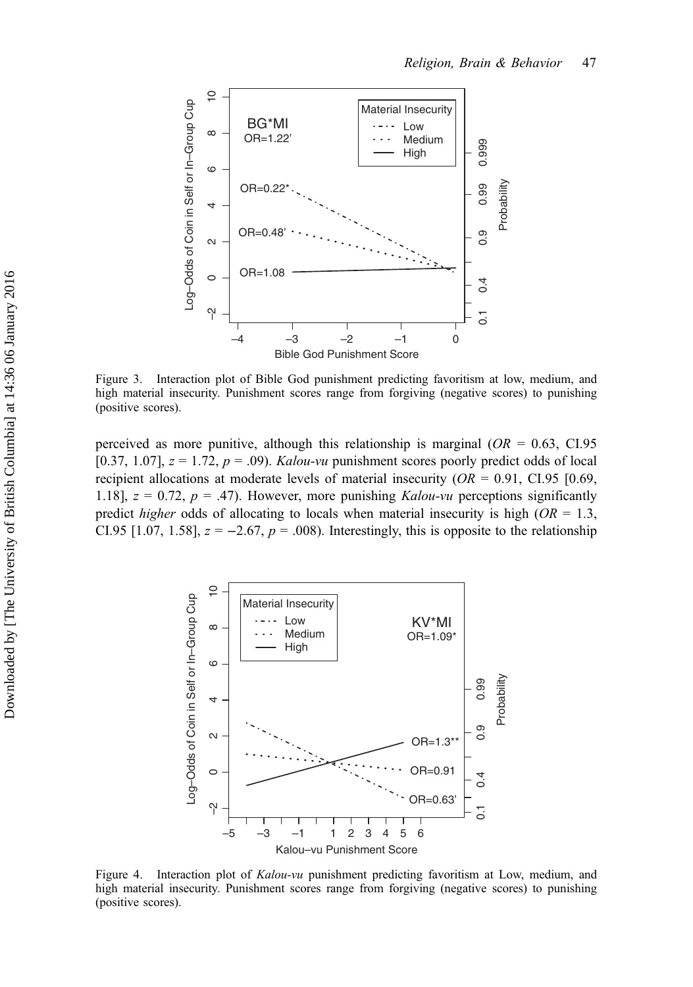<span id="page-14-0"></span>

Figure 3. Interaction plot of Bible God punishment predicting favoritism at low, medium, and high material insecurity. Punishment scores range from forgiving (negative scores) to punishing (positive scores).

perceived as more punitive, although this relationship is marginal ( $OR = 0.63$ , CI.95) [0.37, 1.07],  $z = 1.72$ ,  $p = .09$ ). *Kalou-vu* punishment scores poorly predict odds of local recipient allocations at moderate levels of material insecurity ( $OR = 0.91$ , CI.95 [0.69, 1.18],  $z = 0.72$ ,  $p = .47$ ). However, more punishing *Kalou-vu* perceptions significantly predict *higher* odds of allocating to locals when material insecurity is high ( $OR = 1.3$ , CI.95 [1.07, 1.58],  $z = -2.67$ ,  $p = .008$ ). Interestingly, this is opposite to the relationship



Figure 4. Interaction plot of *Kalou-vu* punishment predicting favoritism at Low, medium, and high material insecurity. Punishment scores range from forgiving (negative scores) to punishing (positive scores).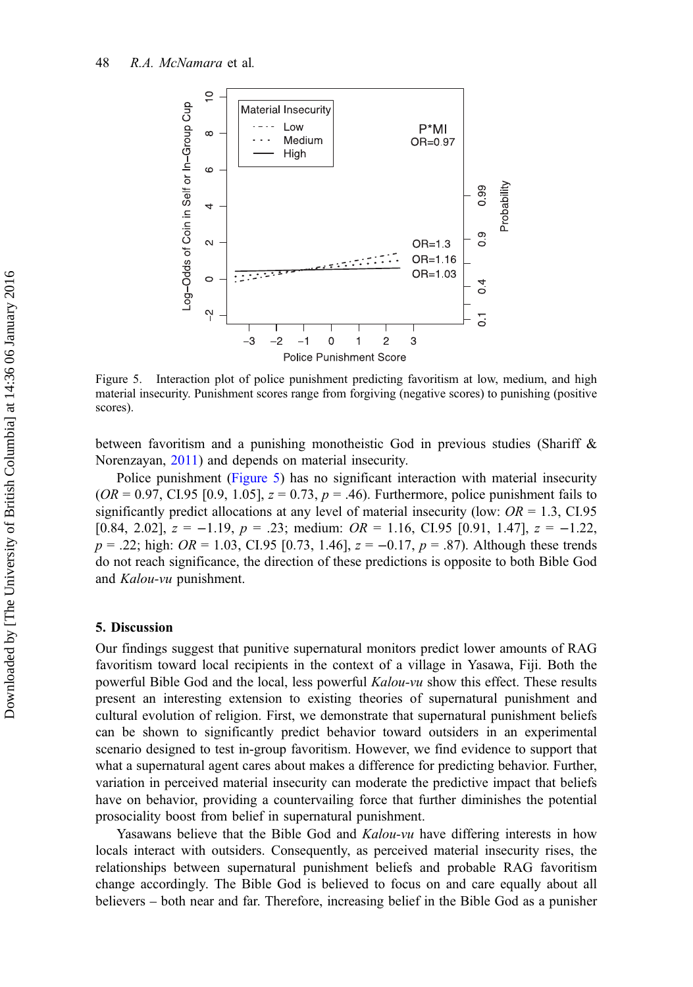

Figure 5. Interaction plot of police punishment predicting favoritism at low, medium, and high material insecurity. Punishment scores range from forgiving (negative scores) to punishing (positive scores).

between favoritism and a punishing monotheistic God in previous studies (Shariff & Norenzayan, [2011](#page-22-0)) and depends on material insecurity.

Police punishment (Figure 5) has no significant interaction with material insecurity  $(OR = 0.97, CI.95 [0.9, 1.05], z = 0.73, p = .46)$ . Furthermore, police punishment fails to significantly predict allocations at any level of material insecurity (low:  $OR = 1.3$ , CI.95 [0.84, 2.02],  $z = -1.19$ ,  $p = .23$ ; medium:  $OR = 1.16$ , CI.95 [0.91, 1.47],  $z = -1.22$ ,  $p = .22$ ; high:  $OR = 1.03$ , CI.95 [0.73, 1.46],  $z = -0.17$ ,  $p = .87$ ). Although these trends do not reach significance, the direction of these predictions is opposite to both Bible God and Kalou-vu punishment.

#### 5. Discussion

Our findings suggest that punitive supernatural monitors predict lower amounts of RAG favoritism toward local recipients in the context of a village in Yasawa, Fiji. Both the powerful Bible God and the local, less powerful Kalou-vu show this effect. These results present an interesting extension to existing theories of supernatural punishment and cultural evolution of religion. First, we demonstrate that supernatural punishment beliefs can be shown to significantly predict behavior toward outsiders in an experimental scenario designed to test in-group favoritism. However, we find evidence to support that what a supernatural agent cares about makes a difference for predicting behavior. Further, variation in perceived material insecurity can moderate the predictive impact that beliefs have on behavior, providing a countervailing force that further diminishes the potential prosociality boost from belief in supernatural punishment.

Yasawans believe that the Bible God and *Kalou-vu* have differing interests in how locals interact with outsiders. Consequently, as perceived material insecurity rises, the relationships between supernatural punishment beliefs and probable RAG favoritism change accordingly. The Bible God is believed to focus on and care equally about all believers – both near and far. Therefore, increasing belief in the Bible God as a punisher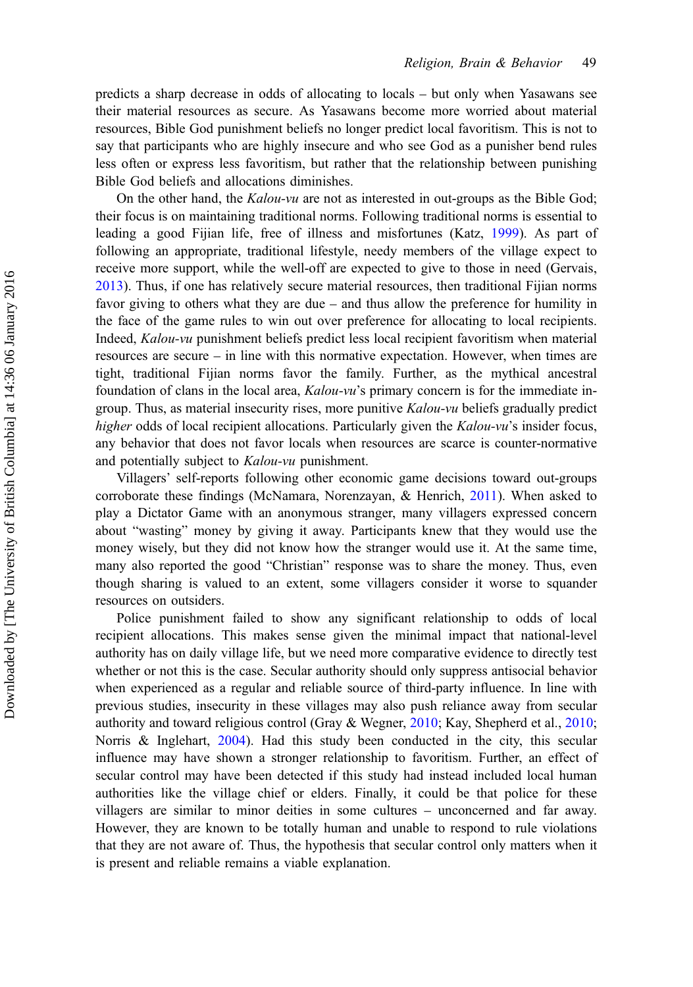predicts a sharp decrease in odds of allocating to locals – but only when Yasawans see their material resources as secure. As Yasawans become more worried about material resources, Bible God punishment beliefs no longer predict local favoritism. This is not to say that participants who are highly insecure and who see God as a punisher bend rules less often or express less favoritism, but rather that the relationship between punishing Bible God beliefs and allocations diminishes.

On the other hand, the  $Kalou-vu$  are not as interested in out-groups as the Bible God; their focus is on maintaining traditional norms. Following traditional norms is essential to leading a good Fijian life, free of illness and misfortunes (Katz, [1999\)](#page-20-0). As part of following an appropriate, traditional lifestyle, needy members of the village expect to receive more support, while the well-off are expected to give to those in need (Gervais, [2013\)](#page-19-0). Thus, if one has relatively secure material resources, then traditional Fijian norms favor giving to others what they are due – and thus allow the preference for humility in the face of the game rules to win out over preference for allocating to local recipients. Indeed, Kalou-vu punishment beliefs predict less local recipient favoritism when material resources are secure – in line with this normative expectation. However, when times are tight, traditional Fijian norms favor the family. Further, as the mythical ancestral foundation of clans in the local area, Kalou-vu's primary concern is for the immediate ingroup. Thus, as material insecurity rises, more punitive Kalou-vu beliefs gradually predict higher odds of local recipient allocations. Particularly given the Kalou-vu's insider focus, any behavior that does not favor locals when resources are scarce is counter-normative and potentially subject to Kalou-vu punishment.

Villagers' self-reports following other economic game decisions toward out-groups corroborate these findings (McNamara, Norenzayan, & Henrich, [2011](#page-21-0)). When asked to play a Dictator Game with an anonymous stranger, many villagers expressed concern about "wasting" money by giving it away. Participants knew that they would use the money wisely, but they did not know how the stranger would use it. At the same time, many also reported the good "Christian" response was to share the money. Thus, even though sharing is valued to an extent, some villagers consider it worse to squander resources on outsiders.

Police punishment failed to show any significant relationship to odds of local recipient allocations. This makes sense given the minimal impact that national-level authority has on daily village life, but we need more comparative evidence to directly test whether or not this is the case. Secular authority should only suppress antisocial behavior when experienced as a regular and reliable source of third-party influence. In line with previous studies, insecurity in these villages may also push reliance away from secular authority and toward religious control (Gray & Wegner, [2010;](#page-19-0) Kay, Shepherd et al., [2010](#page-20-0); Norris & Inglehart, [2004](#page-21-0)). Had this study been conducted in the city, this secular influence may have shown a stronger relationship to favoritism. Further, an effect of secular control may have been detected if this study had instead included local human authorities like the village chief or elders. Finally, it could be that police for these villagers are similar to minor deities in some cultures – unconcerned and far away. However, they are known to be totally human and unable to respond to rule violations that they are not aware of. Thus, the hypothesis that secular control only matters when it is present and reliable remains a viable explanation.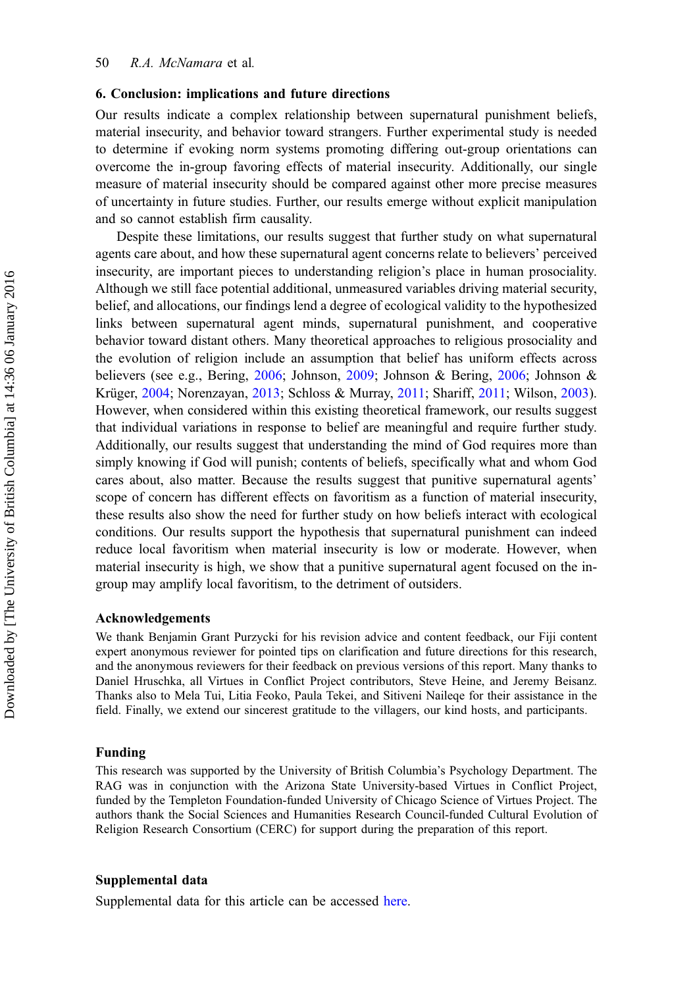# 6. Conclusion: implications and future directions

Our results indicate a complex relationship between supernatural punishment beliefs, material insecurity, and behavior toward strangers. Further experimental study is needed to determine if evoking norm systems promoting differing out-group orientations can overcome the in-group favoring effects of material insecurity. Additionally, our single measure of material insecurity should be compared against other more precise measures of uncertainty in future studies. Further, our results emerge without explicit manipulation and so cannot establish firm causality.

Despite these limitations, our results suggest that further study on what supernatural agents care about, and how these supernatural agent concerns relate to believers' perceived insecurity, are important pieces to understanding religion's place in human prosociality. Although we still face potential additional, unmeasured variables driving material security, belief, and allocations, our findings lend a degree of ecological validity to the hypothesized links between supernatural agent minds, supernatural punishment, and cooperative behavior toward distant others. Many theoretical approaches to religious prosociality and the evolution of religion include an assumption that belief has uniform effects across believers (see e.g., Bering, [2006](#page-19-0); Johnson, [2009;](#page-20-0) Johnson & Bering, [2006](#page-20-0); Johnson & Krüger, [2004;](#page-20-0) Norenzayan, [2013;](#page-21-0) Schloss & Murray, [2011;](#page-21-0) Shariff, [2011](#page-21-0); Wilson, [2003](#page-22-0)). However, when considered within this existing theoretical framework, our results suggest that individual variations in response to belief are meaningful and require further study. Additionally, our results suggest that understanding the mind of God requires more than simply knowing if God will punish; contents of beliefs, specifically what and whom God cares about, also matter. Because the results suggest that punitive supernatural agents' scope of concern has different effects on favoritism as a function of material insecurity, these results also show the need for further study on how beliefs interact with ecological conditions. Our results support the hypothesis that supernatural punishment can indeed reduce local favoritism when material insecurity is low or moderate. However, when material insecurity is high, we show that a punitive supernatural agent focused on the ingroup may amplify local favoritism, to the detriment of outsiders.

# Acknowledgements

We thank Benjamin Grant Purzycki for his revision advice and content feedback, our Fiji content expert anonymous reviewer for pointed tips on clarification and future directions for this research, and the anonymous reviewers for their feedback on previous versions of this report. Many thanks to Daniel Hruschka, all Virtues in Conflict Project contributors, Steve Heine, and Jeremy Beisanz. Thanks also to Mela Tui, Litia Feoko, Paula Tekei, and Sitiveni Naileqe for their assistance in the field. Finally, we extend our sincerest gratitude to the villagers, our kind hosts, and participants.

## Funding

This research was supported by the University of British Columbia's Psychology Department. The RAG was in conjunction with the Arizona State University-based Virtues in Conflict Project, funded by the Templeton Foundation-funded University of Chicago Science of Virtues Project. The authors thank the Social Sciences and Humanities Research Council-funded Cultural Evolution of Religion Research Consortium (CERC) for support during the preparation of this report.

#### Supplemental data

Supplemental data for this article can be accessed [here](http://dx.doi.org/10.1080/2153599X.2014.921235).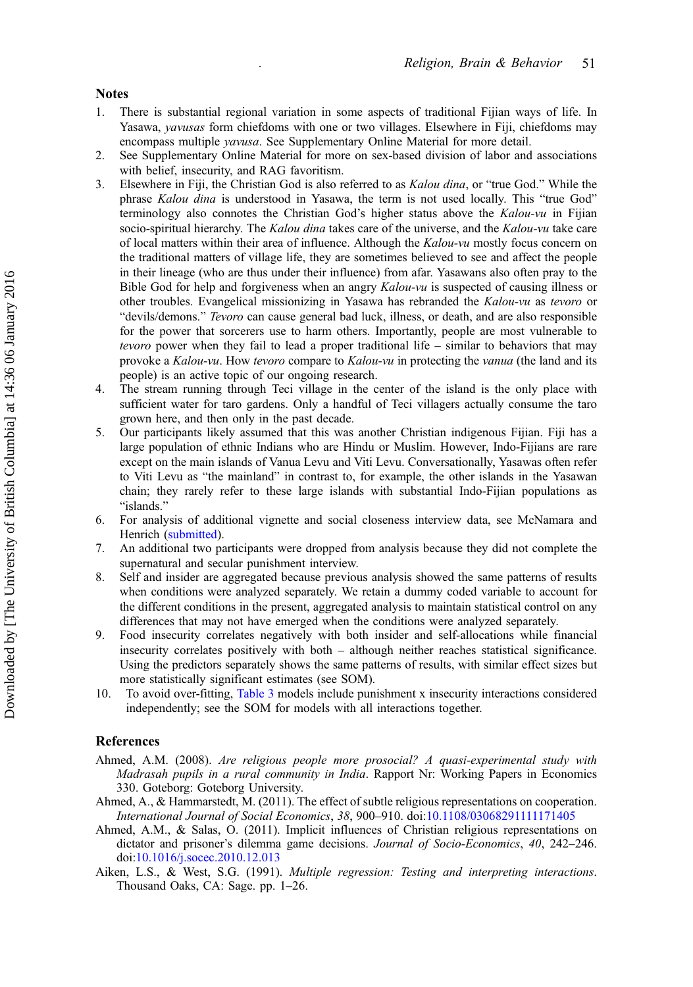#### <span id="page-18-0"></span>**Notes**

- 1. There is substantial regional variation in some aspects of traditional Fijian ways of life. In Yasawa, yavusas form chiefdoms with one or two villages. Elsewhere in Fiji, chiefdoms may encompass multiple yavusa. See Supplementary Online Material for more detail.
- 2. See Supplementary Online Material for more on sex-based division of labor and associations with belief, insecurity, and RAG favoritism.
- 3. Elsewhere in Fiji, the Christian God is also referred to as Kalou dina, or "true God." While the phrase Kalou dina is understood in Yasawa, the term is not used locally. This "true God" terminology also connotes the Christian God's higher status above the  $Kalou-vu$  in Fijian socio-spiritual hierarchy. The Kalou dina takes care of the universe, and the Kalou-vu take care of local matters within their area of influence. Although the Kalou-vu mostly focus concern on the traditional matters of village life, they are sometimes believed to see and affect the people in their lineage (who are thus under their influence) from afar. Yasawans also often pray to the Bible God for help and forgiveness when an angry Kalou-vu is suspected of causing illness or other troubles. Evangelical missionizing in Yasawa has rebranded the Kalou-vu as tevoro or "devils/demons." Tevoro can cause general bad luck, illness, or death, and are also responsible for the power that sorcerers use to harm others. Importantly, people are most vulnerable to tevoro power when they fail to lead a proper traditional life – similar to behaviors that may provoke a Kalou-vu. How tevoro compare to Kalou-vu in protecting the vanua (the land and its people) is an active topic of our ongoing research.
- 4. The stream running through Teci village in the center of the island is the only place with sufficient water for taro gardens. Only a handful of Teci villagers actually consume the taro grown here, and then only in the past decade.
- 5. Our participants likely assumed that this was another Christian indigenous Fijian. Fiji has a large population of ethnic Indians who are Hindu or Muslim. However, Indo-Fijians are rare except on the main islands of Vanua Levu and Viti Levu. Conversationally, Yasawas often refer to Viti Levu as "the mainland" in contrast to, for example, the other islands in the Yasawan chain; they rarely refer to these large islands with substantial Indo-Fijian populations as "islands."
- 6. For analysis of additional vignette and social closeness interview data, see McNamara and Henrich ([submitted\)](#page-21-0).
- 7. An additional two participants were dropped from analysis because they did not complete the supernatural and secular punishment interview.
- 8. Self and insider are aggregated because previous analysis showed the same patterns of results when conditions were analyzed separately. We retain a dummy coded variable to account for the different conditions in the present, aggregated analysis to maintain statistical control on any differences that may not have emerged when the conditions were analyzed separately.
- 9. Food insecurity correlates negatively with both insider and self-allocations while financial insecurity correlates positively with both – although neither reaches statistical significance. Using the predictors separately shows the same patterns of results, with similar effect sizes but more statistically significant estimates (see SOM).
- 10. To avoid over-fitting, [Table 3](#page-13-0) models include punishment x insecurity interactions considered independently; see the SOM for models with all interactions together.

# References

- Ahmed, A.M. (2008). Are religious people more prosocial? A quasi-experimental study with Madrasah pupils in a rural community in India. Rapport Nr: Working Papers in Economics 330. Goteborg: Goteborg University.
- Ahmed, A., & Hammarstedt, M. (2011). The effect of subtle religious representations on cooperation. International Journal of Social Economics, 38, 900–910. doi:[10.1108/03068291111171405](http://dx.doi.org/10.1108/03068291111171405)
- Ahmed, A.M., & Salas, O. (2011). Implicit influences of Christian religious representations on dictator and prisoner's dilemma game decisions. Journal of Socio-Economics, 40, 242–246. doi:[10.1016/j.socec.2010.12.013](http://dx.doi.org/10.1016/j.socec.2010.12.013)
- Aiken, L.S., & West, S.G. (1991). Multiple regression: Testing and interpreting interactions. Thousand Oaks, CA: Sage. pp. 1–26.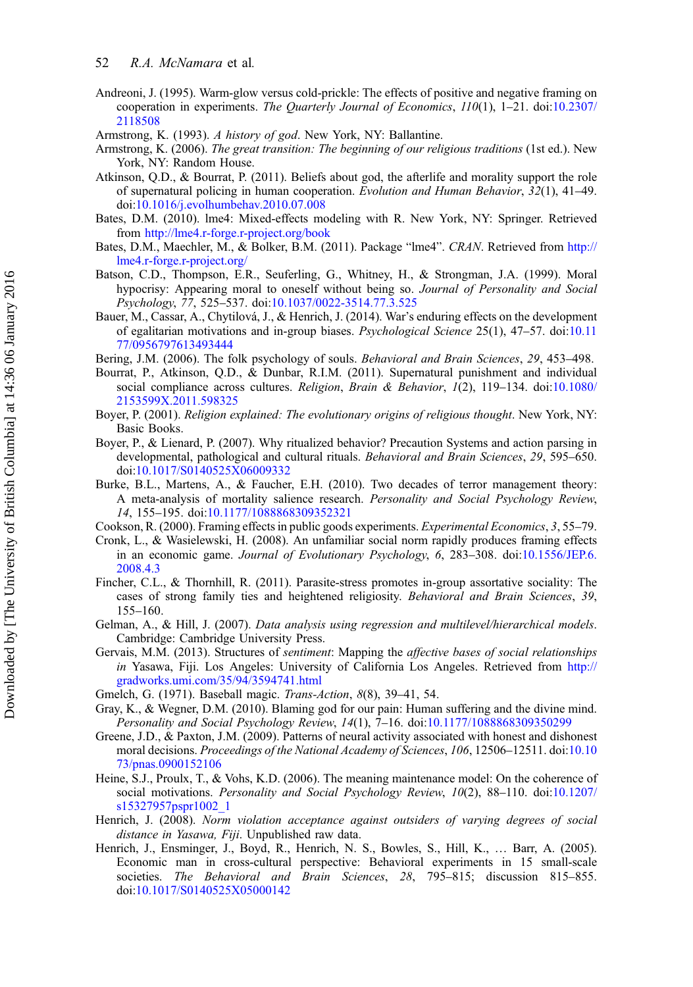- <span id="page-19-0"></span>Andreoni, J. (1995). Warm-glow versus cold-prickle: The effects of positive and negative framing on cooperation in experiments. The Quarterly Journal of Economics, 110(1), 1–21. doi:[10.2307/](http://dx.doi.org/10.2307/2118508) [2118508](http://dx.doi.org/10.2307/2118508)
- Armstrong, K. (1993). A history of god. New York, NY: Ballantine.
- Armstrong, K. (2006). The great transition: The beginning of our religious traditions (1st ed.). New York, NY: Random House.
- Atkinson, Q.D., & Bourrat, P. (2011). Beliefs about god, the afterlife and morality support the role of supernatural policing in human cooperation. Evolution and Human Behavior, 32(1), 41–49. doi:[10.1016/j.evolhumbehav.2010.07.008](http://dx.doi.org/10.1016/j.evolhumbehav.2010.07.008)
- Bates, D.M. (2010). lme4: Mixed-effects modeling with R. New York, NY: Springer. Retrieved from <http://lme4.r-forge.r-project.org/book>
- Bates, D.M., Maechler, M., & Bolker, B.M. (2011). Package "lme4". CRAN. Retrieved from [http://](http://lme4.r-forge.r-project.org/) [lme4.r-forge.r-project.org/](http://lme4.r-forge.r-project.org/)
- Batson, C.D., Thompson, E.R., Seuferling, G., Whitney, H., & Strongman, J.A. (1999). Moral hypocrisy: Appearing moral to oneself without being so. Journal of Personality and Social Psychology, 77, 525–537. doi[:10.1037/0022-3514.77.3.525](http://dx.doi.org/10.1037/0022-3514.77.3.525)
- Bauer, M., Cassar, A., Chytilová, J., & Henrich, J. (2014). War's enduring effects on the development of egalitarian motivations and in-group biases. Psychological Science 25(1), 47–57. doi[:10.11](http://dx.doi.org/10.1177/0956797613493444) [77/0956797613493444](http://dx.doi.org/10.1177/0956797613493444)
- Bering, J.M. (2006). The folk psychology of souls. Behavioral and Brain Sciences, 29, 453–498.
- Bourrat, P., Atkinson, Q.D., & Dunbar, R.I.M. (2011). Supernatural punishment and individual social compliance across cultures. Religion, Brain & Behavior, 1(2), 119-134. doi:[10.1080/](http://dx.doi.org/10.1080/2153599X.2011.598325) [2153599X.2011.598325](http://dx.doi.org/10.1080/2153599X.2011.598325)
- Boyer, P. (2001). Religion explained: The evolutionary origins of religious thought. New York, NY: Basic Books.
- Boyer, P., & Lienard, P. (2007). Why ritualized behavior? Precaution Systems and action parsing in developmental, pathological and cultural rituals. Behavioral and Brain Sciences, 29, 595-650. doi:[10.1017/S0140525X06009332](http://dx.doi.org/10.1017/S0140525X06009332)
- Burke, B.L., Martens, A., & Faucher, E.H. (2010). Two decades of terror management theory: A meta-analysis of mortality salience research. Personality and Social Psychology Review, 14, 155–195. doi:[10.1177/1088868309352321](http://dx.doi.org/10.1177/1088868309352321)
- Cookson, R. (2000). Framing effects in public goods experiments. Experimental Economics, 3, 55–79.
- Cronk, L., & Wasielewski, H. (2008). An unfamiliar social norm rapidly produces framing effects in an economic game. Journal of Evolutionary Psychology, 6, 283–308. doi:[10.1556/JEP.6.](http://dx.doi.org/10.1556/JEP.6.2008.4.3) [2008.4.3](http://dx.doi.org/10.1556/JEP.6.2008.4.3)
- Fincher, C.L., & Thornhill, R. (2011). Parasite-stress promotes in-group assortative sociality: The cases of strong family ties and heightened religiosity. Behavioral and Brain Sciences, 39, 155–160.
- Gelman, A., & Hill, J. (2007). Data analysis using regression and multilevel/hierarchical models. Cambridge: Cambridge University Press.
- Gervais, M.M. (2013). Structures of sentiment: Mapping the affective bases of social relationships in Yasawa, Fiji. Los Angeles: University of California Los Angeles. Retrieved from [http://](http://gradworks.umi.com/35/94/3594741.html) [gradworks.umi.com/35/94/3594741.html](http://gradworks.umi.com/35/94/3594741.html)
- Gmelch, G. (1971). Baseball magic. Trans-Action, 8(8), 39–41, 54.
- Gray, K., & Wegner, D.M. (2010). Blaming god for our pain: Human suffering and the divine mind. Personality and Social Psychology Review, 14(1), 7–16. doi[:10.1177/1088868309350299](http://dx.doi.org/10.1177/1088868309350299)
- Greene, J.D., & Paxton, J.M. (2009). Patterns of neural activity associated with honest and dishonest moral decisions. Proceedings of the National Academy of Sciences, 106, 12506–12511. doi:[10.10](http://dx.doi.org/10.1073/pnas.0900152106) [73/pnas.0900152106](http://dx.doi.org/10.1073/pnas.0900152106)
- Heine, S.J., Proulx, T., & Vohs, K.D. (2006). The meaning maintenance model: On the coherence of social motivations. Personality and Social Psychology Review, 10(2), 88-110. doi:[10.1207/](http://dx.doi.org/10.1207/s15327957pspr1002_1) [s15327957pspr1002\\_1](http://dx.doi.org/10.1207/s15327957pspr1002_1)
- Henrich, J. (2008). Norm violation acceptance against outsiders of varying degrees of social distance in Yasawa, Fiji. Unpublished raw data.
- Henrich, J., Ensminger, J., Boyd, R., Henrich, N. S., Bowles, S., Hill, K., … Barr, A. (2005). Economic man in cross-cultural perspective: Behavioral experiments in 15 small-scale societies. The Behavioral and Brain Sciences, 28, 795–815; discussion 815–855. doi:[10.1017/S0140525X05000142](http://dx.doi.org/10.1017/S0140525X05000142)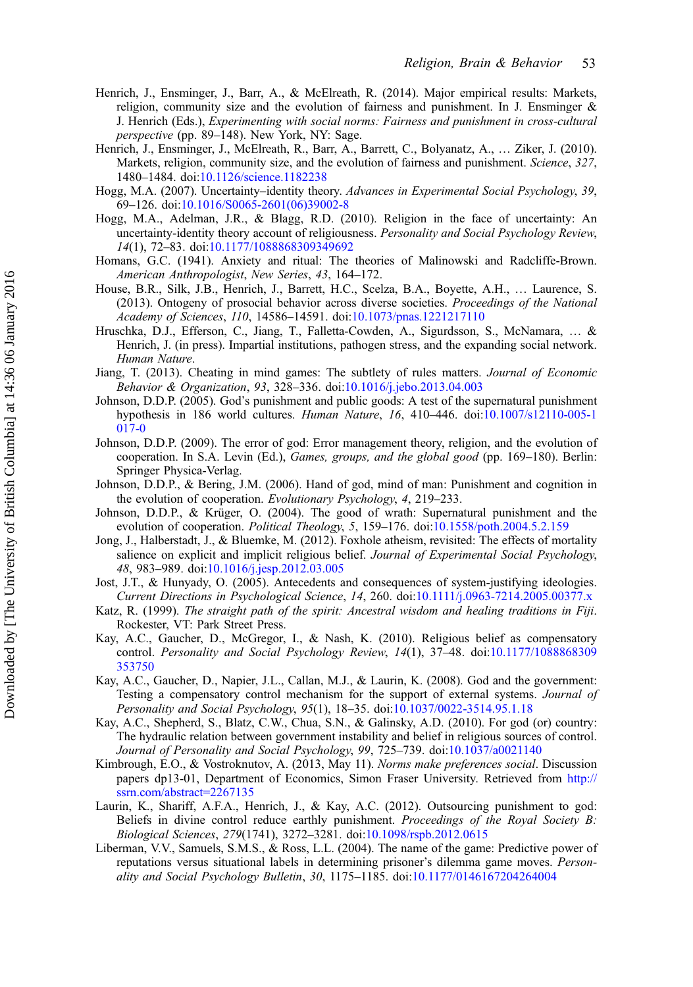- <span id="page-20-0"></span>Henrich, J., Ensminger, J., Barr, A., & McElreath, R. (2014). Major empirical results: Markets, religion, community size and the evolution of fairness and punishment. In J. Ensminger & J. Henrich (Eds.), Experimenting with social norms: Fairness and punishment in cross-cultural perspective (pp. 89–148). New York, NY: Sage.
- Henrich, J., Ensminger, J., McElreath, R., Barr, A., Barrett, C., Bolyanatz, A., … Ziker, J. (2010). Markets, religion, community size, and the evolution of fairness and punishment. Science, 327, 1480–1484. doi[:10.1126/science.1182238](http://dx.doi.org/10.1126/science.1182238)
- Hogg, M.A. (2007). Uncertainty–identity theory. Advances in Experimental Social Psychology, 39, 69–126. doi:[10.1016/S0065-2601\(06\)39002-8](http://dx.doi.org/10.1016/S0065-2601(06)39002-8)
- Hogg, M.A., Adelman, J.R., & Blagg, R.D. (2010). Religion in the face of uncertainty: An uncertainty-identity theory account of religiousness. Personality and Social Psychology Review, 14(1), 72–83. doi:[10.1177/1088868309349692](http://dx.doi.org/10.1177/1088868309349692)
- Homans, G.C. (1941). Anxiety and ritual: The theories of Malinowski and Radcliffe-Brown. American Anthropologist, New Series, 43, 164–172.
- House, B.R., Silk, J.B., Henrich, J., Barrett, H.C., Scelza, B.A., Boyette, A.H., … Laurence, S. (2013). Ontogeny of prosocial behavior across diverse societies. Proceedings of the National Academy of Sciences, 110, 14586–14591. doi:[10.1073/pnas.1221217110](http://dx.doi.org/10.1073/pnas.1221217110)
- Hruschka, D.J., Efferson, C., Jiang, T., Falletta-Cowden, A., Sigurdsson, S., McNamara, … & Henrich, J. (in press). Impartial institutions, pathogen stress, and the expanding social network. Human Nature.
- Jiang, T. (2013). Cheating in mind games: The subtlety of rules matters. Journal of Economic Behavior & Organization, 93, 328–336. doi:[10.1016/j.jebo.2013.04.003](http://dx.doi.org/10.1016/j.jebo.2013.04.003)
- Johnson, D.D.P. (2005). God's punishment and public goods: A test of the supernatural punishment hypothesis in 186 world cultures. Human Nature, 16, 410–446. doi[:10.1007/s12110-005-1](http://dx.doi.org/10.1007/s12110-005-1017-0) [017-0](http://dx.doi.org/10.1007/s12110-005-1017-0)
- Johnson, D.D.P. (2009). The error of god: Error management theory, religion, and the evolution of cooperation. In S.A. Levin (Ed.), Games, groups, and the global good (pp. 169–180). Berlin: Springer Physica-Verlag.
- Johnson, D.D.P., & Bering, J.M. (2006). Hand of god, mind of man: Punishment and cognition in the evolution of cooperation. Evolutionary Psychology, 4, 219–233.
- Johnson, D.D.P., & Krüger, O. (2004). The good of wrath: Supernatural punishment and the evolution of cooperation. *Political Theology*, 5, 159–176. doi[:10.1558/poth.2004.5.2.159](http://dx.doi.org/10.1558/poth.2004.5.2.159)
- Jong, J., Halberstadt, J., & Bluemke, M. (2012). Foxhole atheism, revisited: The effects of mortality salience on explicit and implicit religious belief. Journal of Experimental Social Psychology, 48, 983–989. doi:[10.1016/j.jesp.2012.03.005](http://dx.doi.org/10.1016/j.jesp.2012.03.005)
- Jost, J.T., & Hunyady, O. (2005). Antecedents and consequences of system-justifying ideologies. Current Directions in Psychological Science, 14, 260. doi[:10.1111/j.0963-7214.2005.00377.x](http://dx.doi.org/10.1111/j.0963-7214.2005.00377.x)
- Katz, R. (1999). The straight path of the spirit: Ancestral wisdom and healing traditions in Fiji. Rockester, VT: Park Street Press.
- Kay, A.C., Gaucher, D., McGregor, I., & Nash, K. (2010). Religious belief as compensatory control. Personality and Social Psychology Review, 14(1), 37–48. doi[:10.1177/1088868309](http://dx.doi.org/10.1177/1088868309353750) [353750](http://dx.doi.org/10.1177/1088868309353750)
- Kay, A.C., Gaucher, D., Napier, J.L., Callan, M.J., & Laurin, K. (2008). God and the government: Testing a compensatory control mechanism for the support of external systems. Journal of Personality and Social Psychology, 95(1), 18–35. doi[:10.1037/0022-3514.95.1.18](http://dx.doi.org/10.1037/0022-3514.95.1.18)
- Kay, A.C., Shepherd, S., Blatz, C.W., Chua, S.N., & Galinsky, A.D. (2010). For god (or) country: The hydraulic relation between government instability and belief in religious sources of control. Journal of Personality and Social Psychology, 99, 725-739. doi[:10.1037/a0021140](http://dx.doi.org/10.1037/a0021140)
- Kimbrough, E.O., & Vostroknutov, A. (2013, May 11). Norms make preferences social. Discussion papers dp13-01, Department of Economics, Simon Fraser University. Retrieved from [http://](http://ssrn.com/abstract=2267135) [ssrn.com/abstract=2267135](http://ssrn.com/abstract=2267135)
- Laurin, K., Shariff, A.F.A., Henrich, J., & Kay, A.C. (2012). Outsourcing punishment to god: Beliefs in divine control reduce earthly punishment. Proceedings of the Royal Society B: Biological Sciences, 279(1741), 3272–3281. doi:[10.1098/rspb.2012.0615](http://dx.doi.org/10.1098/rspb.2012.0615)
- Liberman, V.V., Samuels, S.M.S., & Ross, L.L. (2004). The name of the game: Predictive power of reputations versus situational labels in determining prisoner's dilemma game moves. Personality and Social Psychology Bulletin, 30, 1175–1185. doi:[10.1177/0146167204264004](http://dx.doi.org/10.1177/0146167204264004)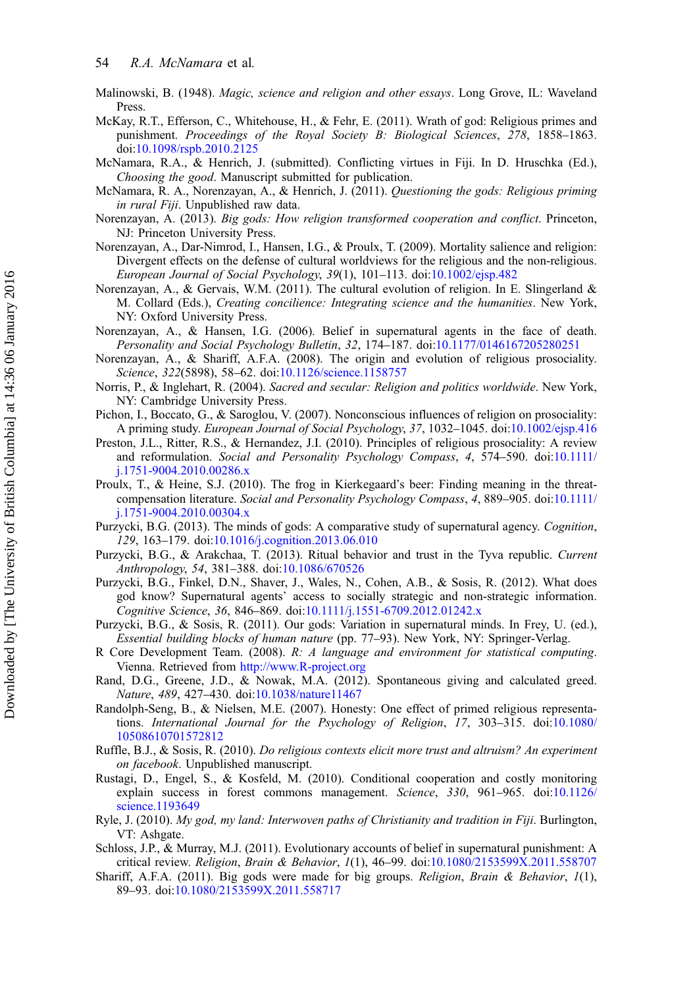- <span id="page-21-0"></span>Malinowski, B. (1948). *Magic, science and religion and other essays*. Long Grove, IL: Waveland Press.
- McKay, R.T., Efferson, C., Whitehouse, H., & Fehr, E. (2011). Wrath of god: Religious primes and punishment. Proceedings of the Royal Society B: Biological Sciences, 278, 1858–1863. doi:[10.1098/rspb.2010.2125](http://dx.doi.org/10.1098/rspb.2010.2125)
- McNamara, R.A., & Henrich, J. (submitted). Conflicting virtues in Fiji. In D. Hruschka (Ed.), Choosing the good. Manuscript submitted for publication.
- McNamara, R. A., Norenzayan, A., & Henrich, J. (2011). Questioning the gods: Religious priming in rural Fiji. Unpublished raw data.
- Norenzayan, A. (2013). Big gods: How religion transformed cooperation and conflict. Princeton, NJ: Princeton University Press.
- Norenzayan, A., Dar-Nimrod, I., Hansen, I.G., & Proulx, T. (2009). Mortality salience and religion: Divergent effects on the defense of cultural worldviews for the religious and the non-religious. European Journal of Social Psychology, 39(1), 101–113. doi:[10.1002/ejsp.482](http://dx.doi.org/10.1002/ejsp.482)
- Norenzayan, A., & Gervais, W.M. (2011). The cultural evolution of religion. In E. Slingerland & M. Collard (Eds.), Creating concilience: Integrating science and the humanities. New York, NY: Oxford University Press.
- Norenzayan, A., & Hansen, I.G. (2006). Belief in supernatural agents in the face of death. Personality and Social Psychology Bulletin, 32, 174–187. doi[:10.1177/0146167205280251](http://dx.doi.org/10.1177/0146167205280251)
- Norenzayan, A., & Shariff, A.F.A. (2008). The origin and evolution of religious prosociality. Science, 322(5898), 58–62. doi[:10.1126/science.1158757](http://dx.doi.org/10.1126/science.1158757)
- Norris, P., & Inglehart, R. (2004). Sacred and secular: Religion and politics worldwide. New York, NY: Cambridge University Press.
- Pichon, I., Boccato, G., & Saroglou, V. (2007). Nonconscious influences of religion on prosociality: A priming study. European Journal of Social Psychology, 37, 1032–1045. doi:[10.1002/ejsp.416](http://dx.doi.org/10.1002/ejsp.416)
- Preston, J.L., Ritter, R.S., & Hernandez, J.I. (2010). Principles of religious prosociality: A review and reformulation. Social and Personality Psychology Compass, 4, 574–590. doi[:10.1111/](http://dx.doi.org/10.1111/j.1751-9004.2010.00286.x) [j.1751-9004.2010.00286.x](http://dx.doi.org/10.1111/j.1751-9004.2010.00286.x)
- Proulx, T., & Heine, S.J. (2010). The frog in Kierkegaard's beer: Finding meaning in the threatcompensation literature. Social and Personality Psychology Compass, 4, 889–905. doi[:10.1111/](http://dx.doi.org/10.1111/j.1751-9004.2010.00304.x) [j.1751-9004.2010.00304.x](http://dx.doi.org/10.1111/j.1751-9004.2010.00304.x)
- Purzycki, B.G. (2013). The minds of gods: A comparative study of supernatural agency. *Cognition*, 129, 163–179. doi[:10.1016/j.cognition.2013.06.010](http://dx.doi.org/10.1016/j.cognition.2013.06.010)
- Purzycki, B.G., & Arakchaa, T. (2013). Ritual behavior and trust in the Tyva republic. Current Anthropology, 54, 381–388. doi[:10.1086/670526](http://dx.doi.org/10.1086/670526)
- Purzycki, B.G., Finkel, D.N., Shaver, J., Wales, N., Cohen, A.B., & Sosis, R. (2012). What does god know? Supernatural agents' access to socially strategic and non-strategic information. Cognitive Science, 36, 846–869. doi[:10.1111/j.1551-6709.2012.01242.x](http://dx.doi.org/10.1111/j.1551-6709.2012.01242.x)
- Purzycki, B.G., & Sosis, R. (2011). Our gods: Variation in supernatural minds. In Frey, U. (ed.), Essential building blocks of human nature (pp. 77–93). New York, NY: Springer-Verlag.
- R Core Development Team. (2008). R: A language and environment for statistical computing. Vienna. Retrieved from <http://www.R-project.org>
- Rand, D.G., Greene, J.D., & Nowak, M.A. (2012). Spontaneous giving and calculated greed. Nature, 489, 427–430. doi:[10.1038/nature11467](http://dx.doi.org/10.1038/nature11467)
- Randolph-Seng, B., & Nielsen, M.E. (2007). Honesty: One effect of primed religious representations. International Journal for the Psychology of Religion, 17, 303–315. doi:[10.1080/](http://dx.doi.org/10.1080/10508610701572812) [10508610701572812](http://dx.doi.org/10.1080/10508610701572812)
- Ruffle, B.J., & Sosis, R. (2010). Do religious contexts elicit more trust and altruism? An experiment on facebook. Unpublished manuscript.
- Rustagi, D., Engel, S., & Kosfeld, M. (2010). Conditional cooperation and costly monitoring explain success in forest commons management. Science, 330, 961–965. doi:[10.1126/](http://dx.doi.org/10.1126/science.1193649) [science.1193649](http://dx.doi.org/10.1126/science.1193649)
- Ryle, J. (2010). My god, my land: Interwoven paths of Christianity and tradition in Fiji. Burlington, VT: Ashgate.
- Schloss, J.P., & Murray, M.J. (2011). Evolutionary accounts of belief in supernatural punishment: A critical review. Religion, Brain & Behavior, 1(1), 46–99. doi:[10.1080/2153599X.2011.558707](http://dx.doi.org/10.1080/2153599X.2011.558707)
- Shariff, A.F.A. (2011). Big gods were made for big groups. Religion, Brain & Behavior, 1(1), 89–93. doi[:10.1080/2153599X.2011.558717](http://dx.doi.org/10.1080/2153599X.2011.558717)